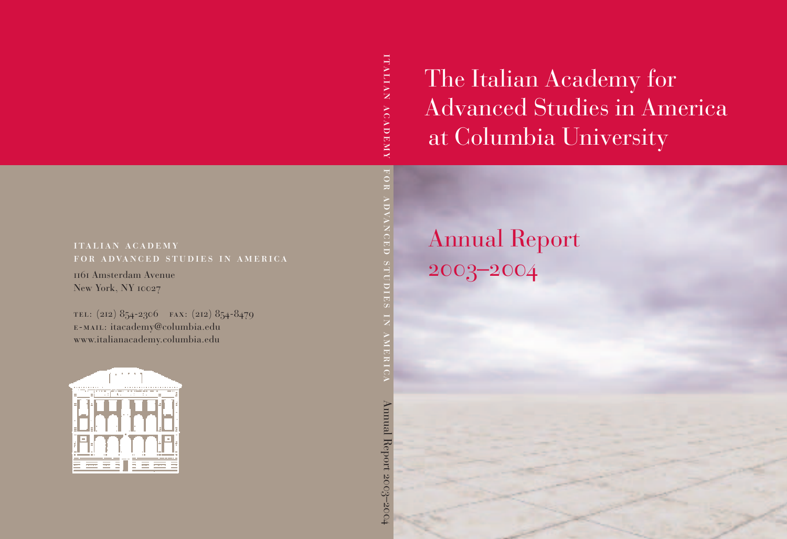it  $\blacktriangleright$ lia Z  $\blacktriangleright$ c  $\blacktriangleright$ d e  $\blacksquare$  $\prec$ 

> f o  $\overline{\mathbf{x}}$  $\blacktriangleright$ d  $\leq$ Z c e d s<br>L u die  $\overline{\mathcal{L}}$ in  $\blacktriangleright$  $\leq$ e ric<br>C  $\blacktriangleright$

> > A n n u

 $\overline{\Xi}$ 

R e p o rt

The Italian Academy for Advanced Studies in America at Columbia University

## ITALIAN ACADEMY for advanced studies in america

1161 Amsterdam Avenue New York, NY 10027

tel: (212) 854-2306 fax: (212) 854-8479 e-mail: itacademy@columbia.edu www.italianacademy.columbia.edu



Annual Report 2003–2004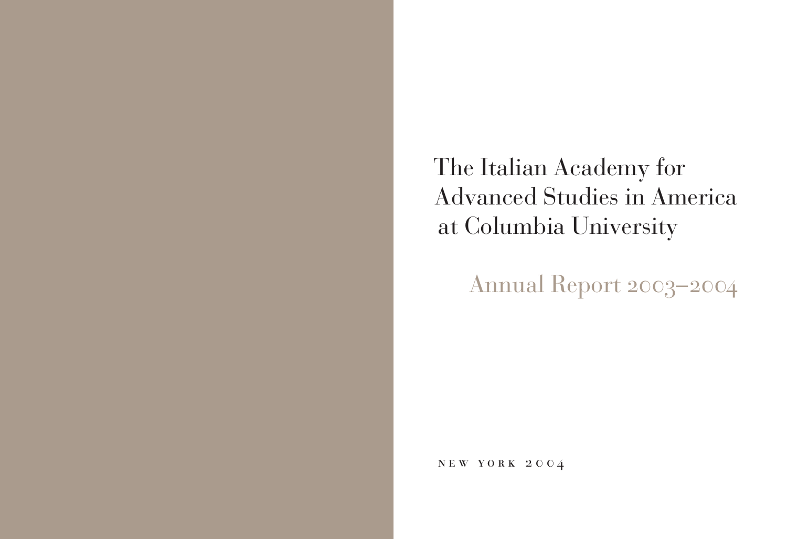The Italian Academy for Advanced Studies in America at Columbia University

Annual Report 2003–2004

new york 2004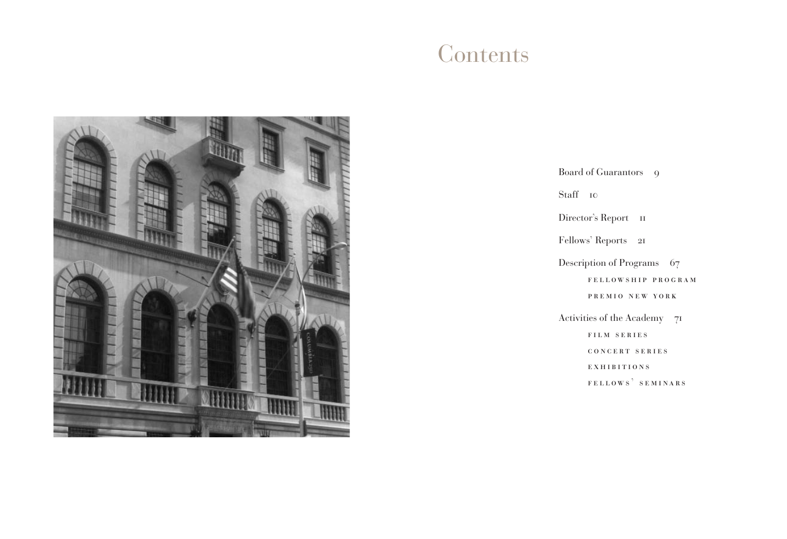# **Contents**



Board of Guarantors 9 Staff 10 Director's Report  $\;$  11 Fellows' Reports  $\,$  21  $\,$ Description of Programs 67 fellowship program premio new york Activities of the Academy 71 film series concer t series exhibitions fellows' seminars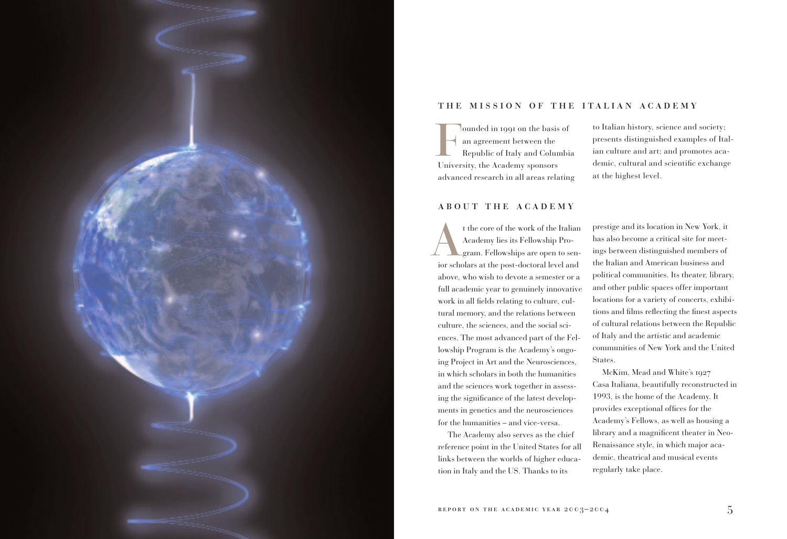

### the mission of the italian academy

Founded in 1991 on the basis of<br>
an agreement between the<br>
Republic of Italy and Columbia an agreement between the University, the Academy sponsors advanced research in all areas relating

to Italian history, science and society; presents distinguished examples of Italian culture and art; and promotes academic, cultural and scientific exchange at the highest level.

### about the academy

t the core of the work of the Italian<br>Academy lies its Fellowship Program. Fellowships are open to sen-Academy lies its Fellowship Proior scholars at the post-doctoral level and above, who wish to devote a semester or a full academic year to genuinely innovative work in all fields relating to culture, cultural memory, and the relations between culture, the sciences, and the social sciences. The most advanced part of the Fellowship Program is the Academy's ongoing Project in Art and the Neurosciences, in which scholars in both the humanities and the sciences work together in assessing the significance of the latest developments in genetics and the neurosciences for the humanities – and vice-versa.

The Academy also serves as the chief reference point in the United States for all links between the worlds of higher education in Italy and the US. Thanks to its

prestige and its location in New York, it has also become a critical site for meetings between distinguished members of the Italian and American business and political communities. Its theater, library, and other public spaces offer important locations for a variety of concerts, exhibitions and films reflecting the finest aspects of cultural relations between the Republic of Italy and the artistic and academic communities of New York and the United States.

McKim, Mead and White's 1927 Casa Italiana, beautifully reconstructed in 1993, is the home of the Academy. It provides exceptional offices for the Academy's Fellows, as well as housing a library and a magnificent theater in Neo-Renaissance style, in which major academic, theatrical and musical events regularly take place.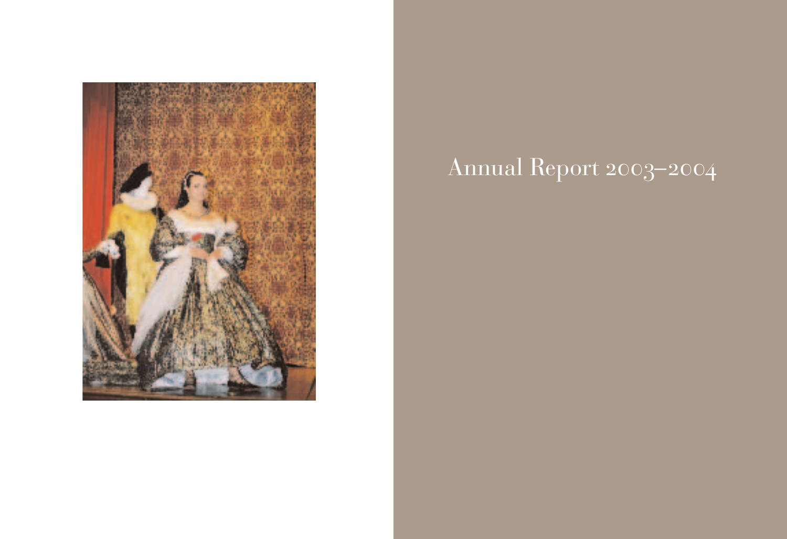

# Annual Report 2003–2004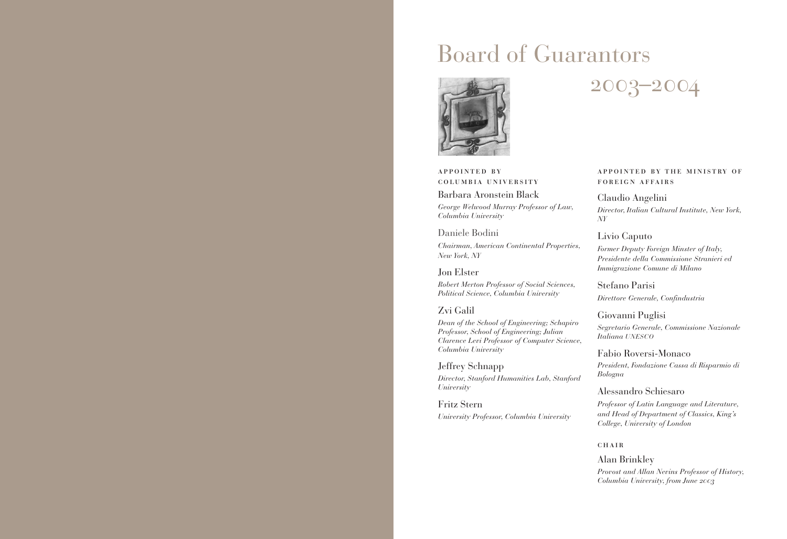# Board of Guarantors



### appointed by

columbia university

Barbara Aronstein Black *George Welwood Murray Professor of Law, Columbia University*

Daniele Bodini

*Chairman, American Continental Properties, New York, NY*

Jon Elster

*Robert Merton Professor of Social Sciences, Political Science, Columbia University*

Zvi Galil

*Dean of the School of Engineering; Schapiro Professor, School of Engineering; Julian Clarence Levi Professor of Computer Science, Columbia University*

Jeffrey Schnapp *Director, Stanford Humanities Lab, Stanford University*

Fritz Stern *University Professor, Columbia University*

2003–2004

appointed by the ministry of foreign affairs

Claudio Angelini *Director, Italian Cultural Institute, New York, NY*

Livio Caputo *Former Deputy Foreign Minster of Italy, Presidente della Commissione Stranieri ed Immigrazione Comune di Milano*

Stefano Parisi *Direttore Generale, Confindustria*

Giovanni Puglisi

*Segretario Generale, Commissione Nazionale Italiana UNESCO*

Fabio Roversi-Monaco *President, Fondazione Cassa di Risparmio di Bologna*

Alessandro Schiesaro

*Professor of Latin Language and Literature, and Head of Department of Classics, King's College, University of London*

**CHAIR** 

### Alan Brinkley

*Provost and Allan Nevins Professor of History, Columbia University, from June 2003*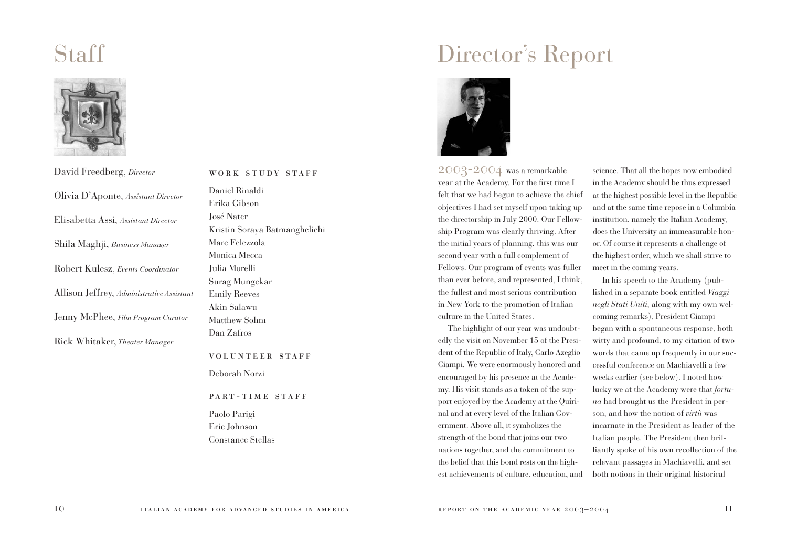# **Staff**



David Freedberg, *Director* Olivia D'Aponte, *Assistant Director* Elisabetta Assi, *Assistant Director* Shila Maghji, *Business Manager* Robert Kulesz, *Events Coordinator* Allison Jeffrey, *Administrative Assistant* Jenny McPhee, *Film Program Curator* Rick Whitaker, *Theater Manager*

## work study staff

Daniel Rinaldi Erika Gibson José Nater Kristin Soraya Batmanghelichi Marc Felezzola Monica Mecca Julia Morelli Surag Mungekar Emily Reeves Akin Salawu Matthew Sohm Dan Zafros

### volunteer staff

Deborah Norzi

### PART-TIME STAFF

Paolo Parigi Eric Johnson Constance Stellas

# Director's Report



2003-2004 was a remarkable year at the Academy. For the first time I felt that we had begun to achieve the chief objectives I had set myself upon taking up the directorship in July 2000. Our Fellowship Program was clearly thriving. After the initial years of planning, this was our second year with a full complement of Fellows. Our program of events was fuller than ever before, and represented, I think, the fullest and most serious contribution in New York to the promotion of Italian culture in the United States.

The highlight of our year was undoubtedly the visit on November 15 of the President of the Republic of Italy, Carlo Azeglio Ciampi. We were enormously honored and encouraged by his presence at the Academy. His visit stands as a token of the support enjoyed by the Academy at the Quirinal and at every level of the Italian Government. Above all, it symbolizes the strength of the bond that joins our two nations together, and the commitment to the belief that this bond rests on the highest achievements of culture, education, and

science. That all the hopes now embodied in the Academy should be thus expressed at the highest possible level in the Republic and at the same time repose in a Columbia institution, namely the Italian Academy, does the University an immeasurable honor. Of course it represents a challenge of the highest order, which we shall strive to meet in the coming years.

In his speech to the Academy (published in a separate book entitled *Viaggi negli Stati Uniti*, along with my own welcoming remarks), President Ciampi began with a spontaneous response, both witty and profound, to my citation of two words that came up frequently in our successful conference on Machiavelli a few weeks earlier (see below). I noted how lucky we at the Academy were that *fortuna* had brought us the President in person, and how the notion of *virtù* was incarnate in the President as leader of the Italian people. The President then brilliantly spoke of his own recollection of the relevant passages in Machiavelli, and set both notions in their original historical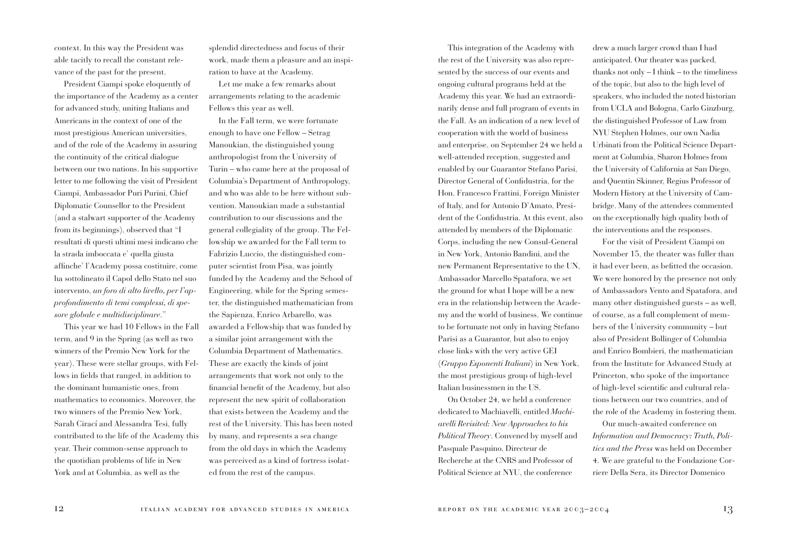context. In this way the President was able tacitly to recall the constant relevance of the past for the present.

President Ciampi spoke eloquently of the importance of the Academy as a center for advanced study, uniting Italians and Americans in the context of one of the most prestigious American universities, and of the role of the Academy in assuring the continuity of the critical dialogue between our two nations. In his supportive letter to me following the visit of President Ciampi, Ambassador Puri Purini, Chief Diplomatic Counsellor to the President (and a stalwart supporter of the Academy from its beginnings), observed that "I resultati di questi ultimi mesi indicano che la strada imboccata e' quella giusta affinche' l'Academy possa costituire, come ha sottolineato il Capol dello Stato nel suo intervento, *un foro di alto livello, per l'approfondimento di temi complessi, di spesore globale e multidisciplinare*."

This year we had 10 Fellows in the Fall term, and 9 in the Spring (as well as two winners of the Premio New York for the year). These were stellar groups, with Fellows in fields that ranged, in addition to the dominant humanistic ones, from mathematics to economics. Moreover, the two winners of the Premio New York, Sarah Cirací and Alessandra Tesi, fully contributed to the life of the Academy this year. Their common-sense approach to the quotidian problems of life in New York and at Columbia, as well as the

splendid directedness and focus of their work, made them a pleasure and an inspiration to have at the Academy.

Let me make a few remarks about arrangements relating to the academic Fellows this year as well.

In the Fall term, we were fortunate enough to have one Fellow – Setrag Manoukian, the distinguished young anthropologist from the University of Turin – who came here at the proposal of Columbia's Department of Anthropology, and who was able to be here without subvention. Manoukian made a substantial contribution to our discussions and the general collegiality of the group. The Fellowship we awarded for the Fall term to Fabrizio Luccio, the distinguished computer scientist from Pisa, was jointly funded by the Academy and the School of Engineering, while for the Spring semester, the distinguished mathematician from the Sapienza, Enrico Arbarello, was awarded a Fellowship that was funded by a similar joint arrangement with the Columbia Department of Mathematics. These are exactly the kinds of joint arrangements that work not only to the financial benefit of the Academy, but also represent the new spirit of collaboration that exists between the Academy and the rest of the University. This has been noted by many, and represents a sea change from the old days in which the Academy was perceived as a kind of fortress isolated from the rest of the campus.

This integration of the Academy with the rest of the University was also represented by the success of our events and ongoing cultural programs held at the Academy this year. We had an extraordinarily dense and full program of events in the Fall. As an indication of a new level of cooperation with the world of business and enterprise, on September 24 we held a well-attended reception, suggested and enabled by our Guarantor Stefano Parisi, Director General of Confidustria, for the Hon. Francesco Frattini, Foreign Minister of Italy, and for Antonio D'Amato, President of the Confidustria. At this event, also attended by members of the Diplomatic Corps, including the new Consul-General in New York, Antonio Bandini, and the new Permanent Representative to the UN, Ambassador Marcello Spatafora, we set the ground for what I hope will be a new era in the relationship between the Academy and the world of business. We continue to be fortunate not only in having Stefano Parisi as a Guarantor, but also to enjoy close links with the very active GEI (*Gruppo Esponenti Italiani*) in New York, the most prestigious group of high-level Italian businessmen in the US.

On October 24, we held a conference dedicated to Machiavelli, entitled *Machiavelli Revisited: New Approaches to his Political Theory*. Convened by myself and Pasquale Pasquino, Directeur de Recherche at the CNRS and Professor of Political Science at NYU, the conference

drew a much larger crowd than I had anticipated. Our theater was packed, thanks not only – I think – to the timeliness of the topic, but also to the high level of speakers, who included the noted historian from UCLA and Bologna, Carlo Ginzburg, the distinguished Professor of Law from NYU Stephen Holmes, our own Nadia Urbinati from the Political Science Department at Columbia, Sharon Holmes from the University of California at San Diego, and Quentin Skinner, Regius Professor of Modern History at the University of Cambridge. Many of the attendees commented on the exceptionally high quality both of the interventions and the responses.

For the visit of President Ciampi on November 15, the theater was fuller than it had ever been, as befitted the occasion. We were honored by the presence not only of Ambassadors Vento and Spatafora, and many other distinguished guests – as well, of course, as a full complement of members of the University community – but also of President Bollinger of Columbia and Enrico Bombieri, the mathematician from the Institute for Advanced Study at Princeton, who spoke of the importance of high-level scientific and cultural relations between our two countries, and of the role of the Academy in fostering them.

Our much-awaited conference on *Information and Democracy: Truth, Politics and the Press* was held on December 4. We are grateful to the Fondazione Corriere Della Sera, its Director Domenico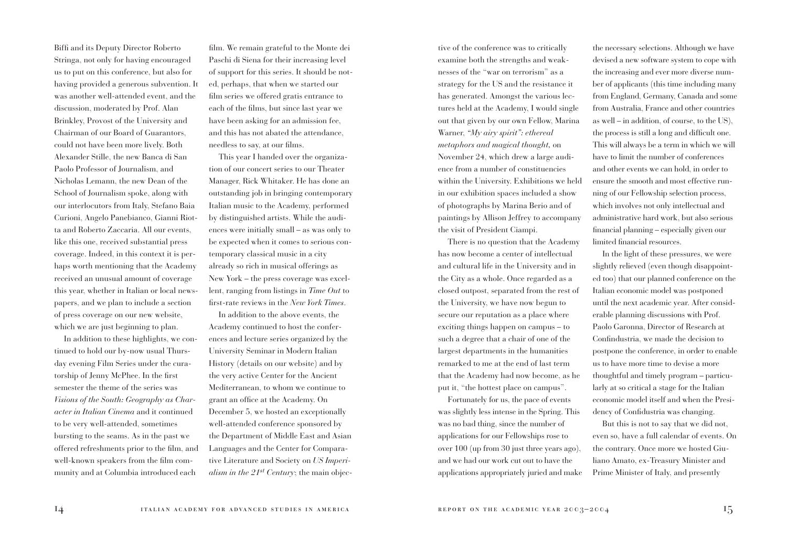Biffi and its Deputy Director Roberto Stringa, not only for having encouraged us to put on this conference, but also for having provided a generous subvention. It was another well-attended event, and the discussion, moderated by Prof. Alan Brinkley, Provost of the University and Chairman of our Board of Guarantors, could not have been more lively. Both Alexander Stille, the new Banca di San Paolo Professor of Journalism, and Nicholas Lemann, the new Dean of the School of Journalism spoke, along with our interlocutors from Italy, Stefano Baia Curioni, Angelo Panebianco, Gianni Riotta and Roberto Zaccaria. All our events, like this one, received substantial press coverage. Indeed, in this context it is perhaps worth mentioning that the Academy received an unusual amount of coverage this year, whether in Italian or local newspapers, and we plan to include a section of press coverage on our new website, which we are just beginning to plan.

In addition to these highlights, we continued to hold our by-now usual Thursday evening Film Series under the curatorship of Jenny McPhee. In the first semester the theme of the series was *Visions of the South: Geography as Character in Italian Cinema* and it continued to be very well-attended, sometimes bursting to the seams. As in the past we offered refreshments prior to the film, and well-known speakers from the film community and at Columbia introduced each

film. We remain grateful to the Monte dei Paschi di Siena for their increasing level of support for this series. It should be noted, perhaps, that when we started our film series we offered gratis entrance to each of the films, but since last year we have been asking for an admission fee, and this has not abated the attendance, needless to say, at our films.

This year I handed over the organization of our concert series to our Theater Manager, Rick Whitaker. He has done an outstanding job in bringing contemporary Italian music to the Academy, performed by distinguished artists. While the audiences were initially small – as was only to be expected when it comes to serious contemporary classical music in a city already so rich in musical offerings as New York – the press coverage was excellent, ranging from listings in *Time Out* to first-rate reviews in the *New York Times*.

In addition to the above events, the Academy continued to host the conferences and lecture series organized by the University Seminar in Modern Italian History (details on our website) and by the very active Center for the Ancient Mediterranean, to whom we continue to grant an office at the Academy. On December 5, we hosted an exceptionally well-attended conference sponsored by the Department of Middle East and Asian Languages and the Center for Comparative Literature and Society on *US Imperialism in the 21st Century*; the main objec-

tive of the conference was to critically examine both the strengths and weaknesses of the "war on terrorism" as a strategy for the US and the resistance it has generated. Amongst the various lectures held at the Academy, I would single out that given by our own Fellow, Marina Warner, *"My airy spirit": ethereal metaphors and magical thought,* on November 24, which drew a large audience from a number of constituencies within the University. Exhibitions we held in our exhibition spaces included a show of photographs by Marina Berio and of paintings by Allison Jeffrey to accompany the visit of President Ciampi.

There is no question that the Academy has now become a center of intellectual and cultural life in the University and in the City as a whole. Once regarded as a closed outpost, separated from the rest of the University, we have now begun to secure our reputation as a place where exciting things happen on campus – to such a degree that a chair of one of the largest departments in the humanities remarked to me at the end of last term that the Academy had now become, as he put it, "the hottest place on campus".

Fortunately for us, the pace of events was slightly less intense in the Spring. This was no bad thing, since the number of applications for our Fellowships rose to over 100 (up from 30 just three years ago), and we had our work cut out to have the applications appropriately juried and make

the necessary selections. Although we have devised a new software system to cope with the increasing and ever more diverse number of applicants (this time including many from England, Germany, Canada and some from Australia, France and other countries as well – in addition, of course, to the US), the process is still a long and difficult one. This will always be a term in which we will have to limit the number of conferences and other events we can hold, in order to ensure the smooth and most effective running of our Fellowship selection process, which involves not only intellectual and administrative hard work, but also serious financial planning – especially given our limited financial resources.

In the light of these pressures, we were slightly relieved (even though disappointed too) that our planned conference on the Italian economic model was postponed until the next academic year. After considerable planning discussions with Prof. Paolo Garonna, Director of Research at Confindustria, we made the decision to postpone the conference, in order to enable us to have more time to devise a more thoughtful and timely program – particularly at so critical a stage for the Italian economic model itself and when the Presidency of Confidustria was changing.

But this is not to say that we did not, even so, have a full calendar of events. On the contrary. Once more we hosted Giuliano Amato, ex-Treasury Minister and Prime Minister of Italy, and presently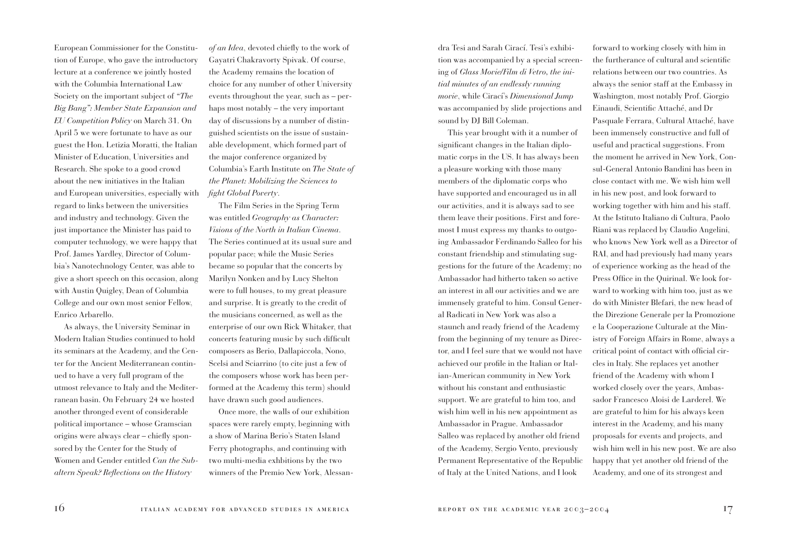European Commissioner for the Constitution of Europe, who gave the introductory lecture at a conference we jointly hosted with the Columbia International Law Society on the important subject of *"The Big Bang": Member State Expansion and EU Competition Policy* on March 31. On April 5 we were fortunate to have as our guest the Hon. Letizia Moratti, the Italian Minister of Education, Universities and Research. She spoke to a good crowd about the new initiatives in the Italian and European universities, especially with regard to links between the universities and industry and technology. Given the just importance the Minister has paid to computer technology, we were happy that Prof. James Yardley, Director of Columbia's Nanotechnology Center, was able to give a short speech on this occasion, along with Austin Quigley, Dean of Columbia College and our own most senior Fellow, Enrico Arbarello.

As always, the University Seminar in Modern Italian Studies continued to hold its seminars at the Academy, and the Center for the Ancient Mediterranean continued to have a very full program of the utmost relevance to Italy and the Mediterranean basin. On February 24 we hosted another thronged event of considerable political importance – whose Gramscian origins were always clear – chiefly sponsored by the Center for the Study of Women and Gender entitled *Can the Subaltern Speak? Reflections on the History*

*of an Idea*, devoted chiefly to the work of Gayatri Chakravorty Spivak. Of course, the Academy remains the location of choice for any number of other University events throughout the year, such as – perhaps most notably – the very important day of discussions by a number of distinguished scientists on the issue of sustainable development, which formed part of the major conference organized by Columbia's Earth Institute on *The State of the Planet: Mobilizing the Sciences to fight Global Poverty*.

The Film Series in the Spring Term was entitled *Geography as Character: Visions of the North in Italian Cinema*. The Series continued at its usual sure and popular pace; while the Music Series became so popular that the concerts by Marilyn Nonken and by Lucy Shelton were to full houses, to my great pleasure and surprise. It is greatly to the credit of the musicians concerned, as well as the enterprise of our own Rick Whitaker, that concerts featuring music by such difficult composers as Berio, Dallapiccola, Nono, Scelsi and Sciarrino (to cite just a few of the composers whose work has been performed at the Academy this term) should have drawn such good audiences.

Once more, the walls of our exhibition spaces were rarely empty, beginning with a show of Marina Berio's Staten Island Ferry photographs, and continuing with two multi-media exhbitions by the two winners of the Premio New York, Alessandra Tesi and Sarah Cirací. Tesi's exhibition was accompanied by a special screening of *Glass Movie/Film di Vetro, the initial minutes of an endlessly running movie*, while Cirací's *Dimensional Jump* was accompanied by slide projections and sound by DJ Bill Coleman.

This year brought with it a number of significant changes in the Italian diplomatic corps in the US. It has always been a pleasure working with those many members of the diplomatic corps who have supported and encouraged us in all our activities, and it is always sad to see them leave their positions. First and foremost I must express my thanks to outgoing Ambassador Ferdinando Salleo for his constant friendship and stimulating suggestions for the future of the Academy; no Ambassador had hitherto taken so active an interest in all our activities and we are immensely grateful to him. Consul General Radicati in New York was also a staunch and ready friend of the Academy from the beginning of my tenure as Director, and I feel sure that we would not have achieved our profile in the Italian or Italian-American community in New York without his constant and enthusiastic support. We are grateful to him too, and wish him well in his new appointment as Ambassador in Prague. Ambassador Salleo was replaced by another old friend of the Academy, Sergio Vento, previously Permanent Representative of the Republic of Italy at the United Nations, and I look

forward to working closely with him in the furtherance of cultural and scientific relations between our two countries. As always the senior staff at the Embassy in Washington, most notably Prof. Giorgio Einaudi, Scientific Attaché, and Dr Pasquale Ferrara, Cultural Attaché, have been immensely constructive and full of useful and practical suggestions. From the moment he arrived in New York, Consul-General Antonio Bandini has been in close contact with me. We wish him well in his new post, and look forward to working together with him and his staff. At the Istituto Italiano di Cultura, Paolo Riani was replaced by Claudio Angelini, who knows New York well as a Director of RAI, and had previously had many years of experience working as the head of the Press Office in the Quirinal. We look forward to working with him too, just as we do with Minister Blefari, the new head of the Direzione Generale per la Promozione e la Cooperazione Culturale at the Ministry of Foreign Affairs in Rome, always a critical point of contact with official circles in Italy. She replaces yet another friend of the Academy with whom I worked closely over the years, Ambassador Francesco Aloisi de Larderel. We are grateful to him for his always keen interest in the Academy, and his many proposals for events and projects, and wish him well in his new post. We are also happy that yet another old friend of the Academy, and one of its strongest and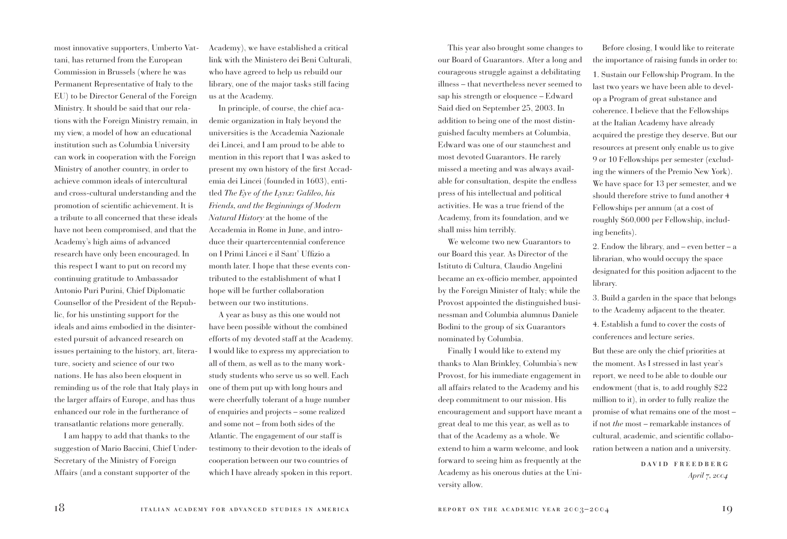most innovative supporters, Umberto Vattani, has returned from the European Commission in Brussels (where he was Permanent Representative of Italy to the EU) to be Director General of the Foreign Ministry. It should be said that our relations with the Foreign Ministry remain, in my view, a model of how an educational institution such as Columbia University can work in cooperation with the Foreign Ministry of another country, in order to achieve common ideals of intercultural and cross-cultural understanding and the promotion of scientific achievement. It is a tribute to all concerned that these ideals have not been compromised, and that the Academy's high aims of advanced research have only been encouraged. In this respect I want to put on record my continuing gratitude to Ambassador Antonio Puri Purini, Chief Diplomatic Counsellor of the President of the Republic, for his unstinting support for the ideals and aims embodied in the disinterested pursuit of advanced research on issues pertaining to the history, art, literature, society and science of our two nations. He has also been eloquent in reminding us of the role that Italy plays in the larger affairs of Europe, and has thus enhanced our role in the furtherance of transatlantic relations more generally.

I am happy to add that thanks to the suggestion of Mario Baccini, Chief Under-Secretary of the Ministry of Foreign Affairs (and a constant supporter of the

Academy), we have established a critical link with the Ministero dei Beni Culturali, who have agreed to help us rebuild our library, one of the major tasks still facing us at the Academy.

In principle, of course, the chief academic organization in Italy beyond the universities is the Accademia Nazionale dei Lincei, and I am proud to be able to mention in this report that I was asked to present my own history of the first Accademia dei Lincei (founded in 1603), entitled *The Eye of the Lynx: Galileo, his Friends, and the Beginnings of Modern Natural History* at the home of the Accademia in Rome in June, and introduce their quartercentennial conference on I Primi Lincei e il Sant' Uffizio a month later. I hope that these events contributed to the establishment of what I hope will be further collaboration between our two institutions.

A year as busy as this one would not have been possible without the combined efforts of my devoted staff at the Academy. I would like to express my appreciation to all of them, as well as to the many workstudy students who serve us so well. Each one of them put up with long hours and were cheerfully tolerant of a huge number of enquiries and projects – some realized and some not – from both sides of the Atlantic. The engagement of our staff is testimony to their devotion to the ideals of cooperation between our two countries of which I have already spoken in this report.

This year also brought some changes to our Board of Guarantors. After a long and courageous struggle against a debilitating illness – that nevertheless never seemed to sap his strength or eloquence – Edward Said died on September 25, 2003. In addition to being one of the most distinguished faculty members at Columbia, Edward was one of our staunchest and most devoted Guarantors. He rarely missed a meeting and was always available for consultation, despite the endless press of his intellectual and political activities. He was a true friend of the Academy, from its foundation, and we shall miss him terribly.

We welcome two new Guarantors to our Board this year. As Director of the Istituto di Cultura, Claudio Angelini became an ex-officio member, appointed by the Foreign Minister of Italy; while the Provost appointed the distinguished businessman and Columbia alumnus Daniele Bodini to the group of six Guarantors nominated by Columbia.

Finally I would like to extend my thanks to Alan Brinkley, Columbia's new Provost, for his immediate engagement in all affairs related to the Academy and his deep commitment to our mission. His encouragement and support have meant a great deal to me this year, as well as to that of the Academy as a whole. We extend to him a warm welcome, and look forward to seeing him as frequently at the Academy as his onerous duties at the University allow.

Before closing, I would like to reiterate the importance of raising funds in order to:

1. Sustain our Fellowship Program. In the last two years we have been able to develop a Program of great substance and coherence. I believe that the Fellowships at the Italian Academy have already acquired the prestige they deserve. But our resources at present only enable us to give 9 or 10 Fellowships per semester (excluding the winners of the Premio New York). We have space for 13 per semester, and we should therefore strive to fund another 4 Fellowships per annum (at a cost of roughly \$60,000 per Fellowship, including benefits).

2. Endow the library, and – even better – a librarian, who would occupy the space designated for this position adjacent to the library.

3. Build a garden in the space that belongs to the Academy adjacent to the theater.

4. Establish a fund to cover the costs of conferences and lecture series.

But these are only the chief priorities at the moment. As I stressed in last year's report, we need to be able to double our endowment (that is, to add roughly \$22 million to it), in order to fully realize the promise of what remains one of the most – if not *the* most – remarkable instances of cultural, academic, and scientific collaboration between a nation and a university.

> david freedberg *April 7, 2004*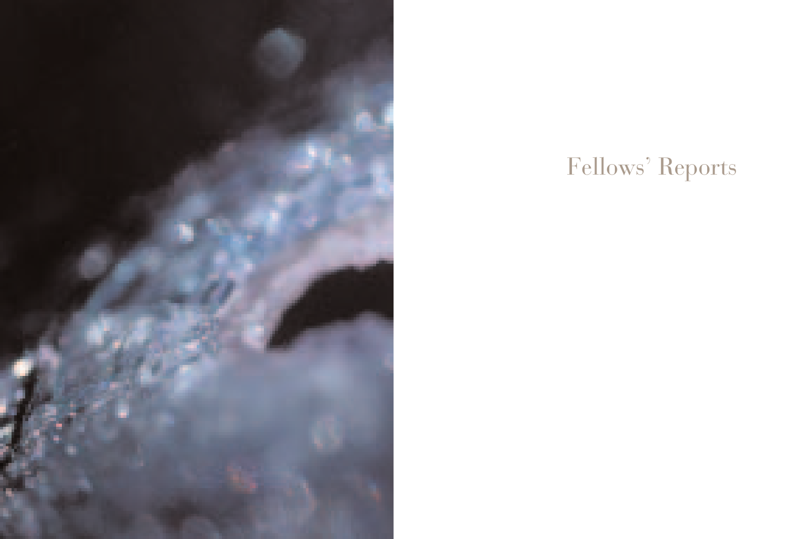

# Fellows' Reports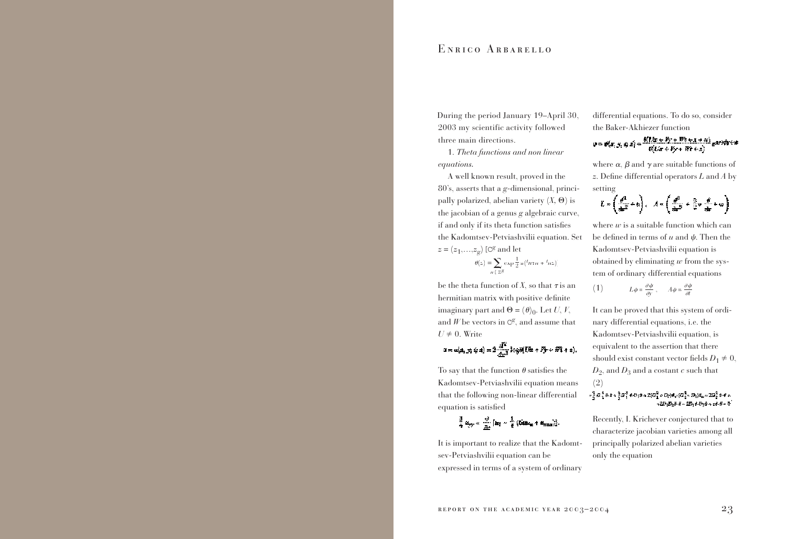### ENRICO ARBARELLO

During the period January 19–April 30, 2003 my scientific activity followed three main directions.

1. *Theta functions and non linear equations.*

A well known result, proved in the 80's, asserts that a *g*-dimensional, principally polarized, abelian variety  $(X, \Theta)$  is the jacobian of a genus *g* algebraic curve, if and only if its theta function satisfies the Kadomtsev-Petviashvilii equation. Set  $z = (z_1, \ldots, z_g)$  [C<sup>*g*</sup> and let

> $\theta(z) = \sum_{n \in \mathbb{Z}} \exp \frac{1}{2} \pi (tn\tau n + tnz)$ =

be the theta function of X, so that  $\tau$  is an hermitian matrix with positive definite imaginary part and  $\Theta = (\theta)_0$ . Let *U*, *V*, and  $W$  be vectors in  $C^g$ , and assume that  $U \neq 0$ . Write

$$
a = \omega_{2^{k_1}} f_1 \in \pm 1 = 2 \cdot \frac{3^{k_1}}{4k_1^2} \log \theta (L^2 + L^2) + H^2 + \pm 1.
$$

To say that the function  $\theta$  satisfies the Kadomtsev-Petviashvilii equation means that the following non-linear differential equation is satisfied

$$
\frac{3}{4}\mathbf{e}_{yy} \propto \frac{3}{4\pi} \left[ \mathbf{e}_t \sim \frac{1}{4} \left( \mathbf{b} \mathbf{e}_x + \mathbf{e}_{\text{max}} \right) \right].
$$

It is important to realize that the Kadomtsev-Petviashvilii equation can be expressed in terms of a system of ordinary differential equations. To do so, consider the Baker-Akhiezer function

$$
\psi = \psi(x, y, 4; x) = \frac{\theta(1/x + 4y + 12x + 3x + 4)}{\theta(1/x + 4y + 12x + 2)}
$$

where  $\alpha$ ,  $\beta$  and  $\gamma$  are suitable functions of *z*. Define differential operators *L* and *A* by setting

$$
\tilde{L}=\left(\frac{d^2}{4\pi^2}+6\right),\quad \tilde{A}=\left(\frac{d^2}{4\pi^2}+\frac{3}{2}\nu\cdot\frac{d}{4\pi}+\nu\right)
$$

where  $w$  is a suitable function which can be defined in terms of  $u$  and  $\psi$ . Then the Kadomtsev-Petviashvilii equation is obtained by eliminating *w* from the system of ordinary differential equations in terms of *u* ar<br> *z*-Petviashvilii e<br> *y* eliminating *w*<br>
inary differentia<br> *L* $\psi = \frac{\partial \psi}{\partial y}$ ,  $A\psi =$ d ա<br>դաքեր<br><br>- Հայեր<br>- Հայեր

(1) 
$$
L\psi = \frac{\partial \psi}{\partial y}, \quad A\psi = \frac{\partial \psi}{\partial t}
$$

It can be proved that this system of ordinary differential equations, i.e. the Kadomtsev-Petviashvilii equation, is equivalent to the assertion that there should exist constant vector fields  $D_1 \neq 0$ .  $D_2$ , and  $D_3$  and a costant *c* such that (2)

### $\sim \frac{3}{4}\,H_3^4\otimes 4\otimes \frac{3}{4}H_4^4\otimes H_3\otimes \wedge 2\{H_1^2\otimes H_2\}\otimes \{H_4^2\otimes H_3\}\otimes \cdots 2H_5^2\otimes \otimes \wedge$  $429p$   $p$   $q$   $b$   $d$   $m$   $22q$   $d$   $d$   $b$   $d$   $a$   $b$   $d$   $b$   $a$   $c$   $b$

Recently, I. Krichever conjectured that to characterize jacobian varieties among all principally polarized abelian varieties only the equation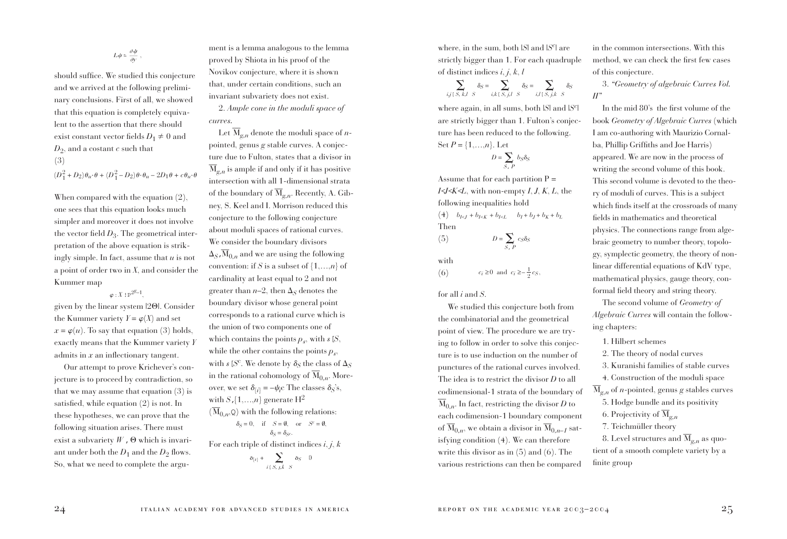$$
L\psi = \frac{\partial \psi}{\partial y},
$$

should suffice. We studied this conjecture and we arrived at the following preliminary conclusions. First of all, we showed that this equation is completely equivalent to the assertion that there should exist constant vector fields  $D_1 \neq 0$  and *D*2, and a costant *c* such that (3) *D* thould suffice. We studied this conjecture<br>
and we arrived at the following prelimi-<br>
arry conclusions. First of all, we showed<br>
hat this equation is completely equiva-<br>
ent to the assertion that there should<br>
xist co  $_{1}^{2} + D_{2})\theta_{u}\cdot\theta + (D_{1}^{2})$ 

When compared with the equation  $(2)$ , one sees that this equation looks much simpler and moreover it does not involve the vector field *D*3. The geometrical interpretation of the above equation is strikingly simple. In fact, assume that *u* is not a point of order two in *X*, and consider the Kummer map

### $\varphi$  : *X* !  $P^{2g-1}$ .

given by the linear system |2Q|. Consider the Kummer variety  $Y = \varphi(X)$  and set  $x = \varphi(u)$ . To say that equation (3) holds, exactly means that the Kummer variety *Y* admits in *x* an inflectionary tangent.

Our attempt to prove Krichever's conjecture is to proceed by contradiction, so that we may assume that equation (3) is satisfied, while equation (2) is not. In these hypotheses, we can prove that the following situation arises. There must exist a subvariety  $W$ ,  $\Theta$  which is invariant under both the  $D_1$  and the  $D_2$  flows. So, what we need to complete the argument is a lemma analogous to the lemma proved by Shiota in his proof of the Novikov conjecture, where it is shown that, under certain conditions, such an invariant subvariety does not exist.

2. *Ample cone in the moduli space of curves.*

Let  $\overline{M}_{g,n}$  denote the moduli space of *n*pointed, genus *g* stable curves. A conjecture due to Fulton, states that a divisor in  $\overline{M}_{g,n}$  is ample if and only if it has positive intersection with all 1-dimensional strata of the boundary of  $\overline{M}_{g,n}$ . Recently, A. Gibney, S. Keel and I. Morrison reduced this conjecture to the following conjecture about moduli spaces of rational curves. We consider the boundary divisors  $\Delta_S$ ,  $\overline{\mathrm{M}}_{0,n}$  and we are using the following convention: if *S* is a subset of  $\{1,...,n\}$  of cardinality at least equal to 2 and not greater than  $n-2$ , then  $\Delta_S$  denotes the boundary divisor whose general point corresponds to a rational curve which is the union of two components one of which contains the points  $p_s$ , with  $s[S]$ , while the other contains the points  $p_s$ , with *s* [ $S^c$ . We denote by  $\delta_S$  the class of  $\Delta_S$ in the rational cohomology of  $\overline{M}_{0,n}$ . Moreover, we set  $\delta_{\{i\}} = -\psi_i$ c The classes  $\delta_S$ 's, with  $S$ ,  $\{1,...,n\}$  generate  $H^2$  $(\overline{\mathrm{M}}_{0,n}, \mathrm{Q})$  with the following relations:  $\delta_S = 0$ , if  $S = \emptyset$ , or  $S^c = \emptyset$ ,  $\delta_S = \delta_{Sc}$ . For each triple of distinct indices *i*, *j*, *k*

$$
\delta_{[i]} + \sum_{i \in S, j, k \in S} \delta_S = 0
$$

where, in the sum, both  $|S|$  and  $|S^c|$  are strictly bigger than 1. For each quadruple of distinct indices *i*, *j*, *k*, *l*

$$
\sum_{i,j \in S, k,l \in S} \delta_S = \sum_{i,k \in S, j,l \in S} \delta_S = \sum_{i,l \in S, j,k \in S} \delta_S
$$

where again, in all sums, both  $|S|$  and  $|S^c|$ are strictly bigger than 1. Fulton's conjecture has been reduced to the following. Set  $P = \{1, ..., n\}$ . Let

$$
D = \sum_{S, P} b_S \delta_S
$$

Assume that for each partition  $P =$  $I \leq J \leq K \leq L$ , with non-empty *I*, *J*, *K*, *L*, the following inequalities hold  $(4)$   $b_{I \leq J} + b_{I \leq K} + b_{I \leq L}$   $b_I + b_J + b_K + b_L$ Then

Then  
\n(5) 
$$
D = \sum_{S_i} c_S \delta_S
$$
\nwith  
\n(6)  $c_i \ge 0$  and  $c_i \ge -\frac{1}{2} c_S$ ,

with

```
(6)
                             2
```
### for all *i* and *S*.

We studied this conjecture both from the combinatorial and the geometrical point of view. The procedure we are trying to follow in order to solve this conjecture is to use induction on the number of punctures of the rational curves involved. The idea is to restrict the divisor *D* to all codimensional-1 strata of the boundary of  $\overline{\mathrm{M}}_{0,n}$ . In fact, restricting the divisor *D* to each codimension-1 boundary component of  $\overline{M}_{0,n}$ , we obtain a divisor in  $\overline{M}_{0,n-1}$  satisfying condition (4). We can therefore write this divisor as in (5) and (6). The various restrictions can then be compared

in the common intersections. With this method, we can check the first few cases of this conjecture.

3. *"Geometry of algebraic Curves Vol. II"*

In the mid 80's the first volume of the book *Geometry of Algebraic Curves* (which I am co-authoring with Maurizio Cornalba, Phillip Griffiths and Joe Harris) appeared. We are now in the process of writing the second volume of this book. This second volume is devoted to the theory of moduli of curves. This is a subject which finds itself at the crossroads of many fields in mathematics and theoretical physics. The connections range from algebraic geometry to number theory, topology, symplectic geometry, the theory of nonlinear differential equations of KdV type, mathematical physics, gauge theory, conformal field theory and string theory.

The second volume of *Geometry of Algebraic Curves* will contain the following chapters:

1. Hilbert schemes

2. The theory of nodal curves

3. Kuranishi families of stable curves

4. Construction of the moduli space  $\overline{M}_{g,n}$  of *n*-pointed, genus *g* stables curves 5. Hodge bundle and its positivity

6. Projectivity of  $\overline{\mathrm{M}}_{q,n}$ 

7. Teichmüller theory

8. Level structures and  $\overline{M}_{\sigma n}$  as quotient of a smooth complete variety by a finite group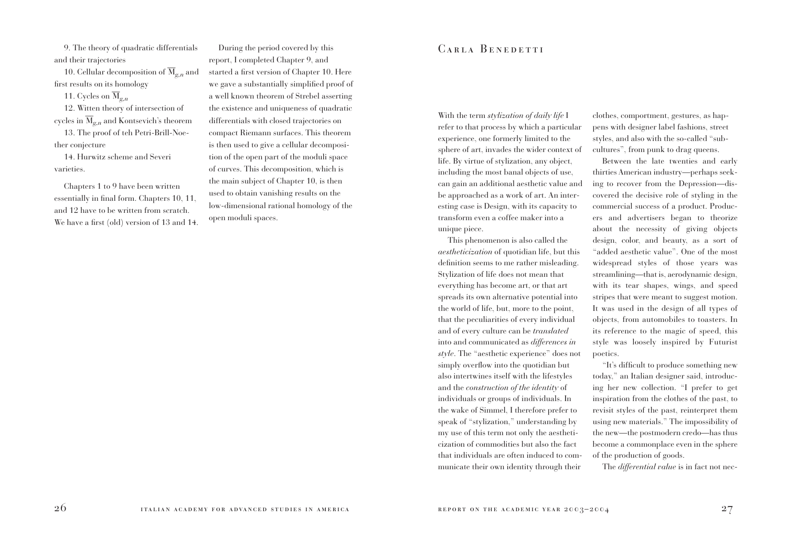9. The theory of quadratic differentials and their trajectories

10. Cellular decomposition of  $\overline{M}_{g,n}$  and first results on its homology

11. Cycles on  $\overline{\mathcal{M}}_{\sigma,n}$ 

12. Witten theory of intersection of cycles in  $\overline{M}_{g,n}$  and Kontsevich's theorem 13. The proof of teh Petri-Brill-Noe-

ther conjecture

14. Hurwitz scheme and Severi varieties.

Chapters 1 to 9 have been written essentially in final form. Chapters 10, 11, and 12 have to be written from scratch. We have a first (old) version of 13 and 14.

During the period covered by this report, I completed Chapter 9, and started a first version of Chapter 10. Here we gave a substantially simplified proof of a well known theorem of Strebel asserting the existence and uniqueness of quadratic differentials with closed trajectories on compact Riemann surfaces. This theorem is then used to give a cellular decomposition of the open part of the moduli space of curves. This decomposition, which is the main subject of Chapter 10, is then used to obtain vanishing results on the low-dimensional rational homology of the open moduli spaces.

## Carla Benedetti

With the term *stylization of daily life* I refer to that process by which a particular experience, one formerly limited to the sphere of art, invades the wider context of life. By virtue of stylization, any object, including the most banal objects of use, can gain an additional aesthetic value and be approached as a work of art. An interesting case is Design, with its capacity to transform even a coffee maker into a unique piece.

This phenomenon is also called the *aestheticization* of quotidian life, but this definition seems to me rather misleading. Stylization of life does not mean that everything has become art, or that art spreads its own alternative potential into the world of life, but, more to the point, that the peculiarities of every individual and of every culture can be *translated* into and communicated as *differences in style*. The "aesthetic experience" does not simply overflow into the quotidian but also intertwines itself with the lifestyles and the *construction of the identity* of individuals or groups of individuals. In the wake of Simmel, I therefore prefer to speak of "stylization," understanding by my use of this term not only the aestheticization of commodities but also the fact that individuals are often induced to communicate their own identity through their

clothes, comportment, gestures, as happens with designer label fashions, street styles, and also with the so-called "subcultures", from punk to drag queens.

Between the late twenties and early thirties American industry—perhaps seeking to recover from the Depression—discovered the decisive role of styling in the commercial success of a product. Producers and advertisers began to theorize about the necessity of giving objects design, color, and beauty, as a sort of "added aesthetic value". One of the most widespread styles of those years was streamlining—that is, aerodynamic design, with its tear shapes, wings, and speed stripes that were meant to suggest motion. It was used in the design of all types of objects, from automobiles to toasters. In its reference to the magic of speed, this style was loosely inspired by Futurist poetics.

"It's difficult to produce something new today," an Italian designer said, introducing her new collection. "I prefer to get inspiration from the clothes of the past, to revisit styles of the past, reinterpret them using new materials." The impossibility of the new—the postmodern credo—has thus become a commonplace even in the sphere of the production of goods.

The *differential value* is in fact not nec-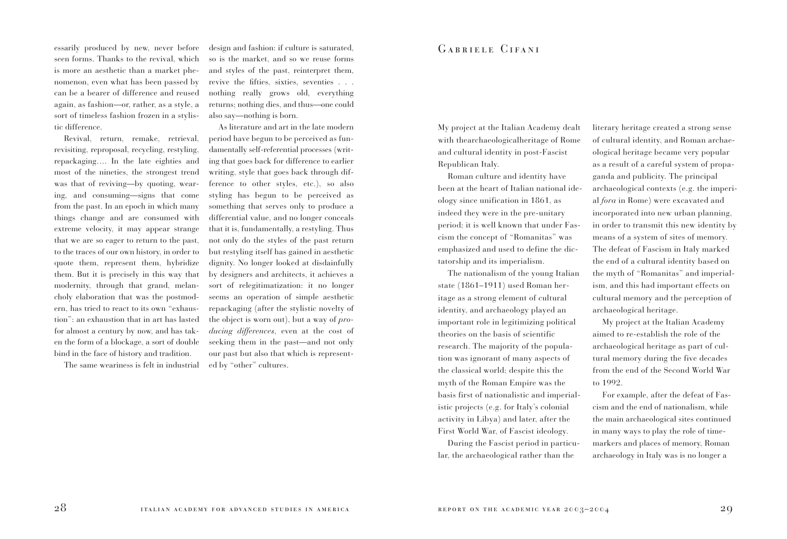essarily produced by new, never before design and fashion: if culture is saturated, seen forms. Thanks to the revival, which is more an aesthetic than a market phenomenon, even what has been passed by can be a bearer of difference and reused again, as fashion—or, rather, as a style, a sort of timeless fashion frozen in a stylistic difference.

Revival, return, remake, retrieval, revisiting, reproposal, recycling, restyling, repackaging…. In the late eighties and most of the nineties, the strongest trend was that of reviving—by quoting, wearing, and consuming—signs that come from the past. In an epoch in which many things change and are consumed with extreme velocity, it may appear strange that we are so eager to return to the past, to the traces of our own history, in order to quote them, represent them, hybridize them. But it is precisely in this way that modernity, through that grand, melancholy elaboration that was the postmodern, has tried to react to its own "exhaustion": an exhaustion that in art has lasted for almost a century by now, and has taken the form of a blockage, a sort of double bind in the face of history and tradition.

The same weariness is felt in industrial

so is the market, and so we reuse forms and styles of the past, reinterpret them, revive the fifties, sixties, seventies . . . nothing really grows old, everything returns; nothing dies, and thus—one could also say—nothing is born.

As literature and art in the late modern period have begun to be perceived as fundamentally self-referential processes (writing that goes back for difference to earlier writing, style that goes back through difference to other styles, etc.), so also styling has begun to be perceived as something that serves only to produce a differential value, and no longer conceals that it is, fundamentally, a restyling. Thus not only do the styles of the past return but restyling itself has gained in aesthetic dignity. No longer looked at disdainfully by designers and architects, it achieves a sort of relegitimatization: it no longer seems an operation of simple aesthetic repackaging (after the stylistic novelty of the object is worn out), but a way of *producing differences*, even at the cost of seeking them in the past—and not only our past but also that which is represented by "other" cultures.

## Gabriele Cifani

My project at the Italian Academy dealt with thearchaeologicalheritage of Rome and cultural identity in post-Fascist Republican Italy.

Roman culture and identity have been at the heart of Italian national ideology since unification in 1861, as indeed they were in the pre-unitary period; it is well known that under Fascism the concept of "Romanitas" was emphasized and used to define the dictatorship and its imperialism.

The nationalism of the young Italian state (1861–1911) used Roman heritage as a strong element of cultural identity, and archaeology played an important role in legitimizing political theories on the basis of scientific research. The majority of the population was ignorant of many aspects of the classical world; despite this the myth of the Roman Empire was the basis first of nationalistic and imperialistic projects (e.g. for Italy's colonial activity in Libya) and later, after the First World War, of Fascist ideology.

During the Fascist period in particular, the archaeological rather than the

literary heritage created a strong sense of cultural identity, and Roman archaeological heritage became very popular as a result of a careful system of propaganda and publicity. The principal archaeological contexts (e.g. the imperial *fora* in Rome) were excavated and incorporated into new urban planning, in order to transmit this new identity by means of a system of sites of memory. The defeat of Fascism in Italy marked the end of a cultural identity based on the myth of "Romanitas" and imperialism, and this had important effects on cultural memory and the perception of archaeological heritage.

My project at the Italian Academy aimed to re-establish the role of the archaeological heritage as part of cultural memory during the five decades from the end of the Second World War to 1992.

For example, after the defeat of Fascism and the end of nationalism, while the main archaeological sites continued in many ways to play the role of timemarkers and places of memory, Roman archaeology in Italy was is no longer a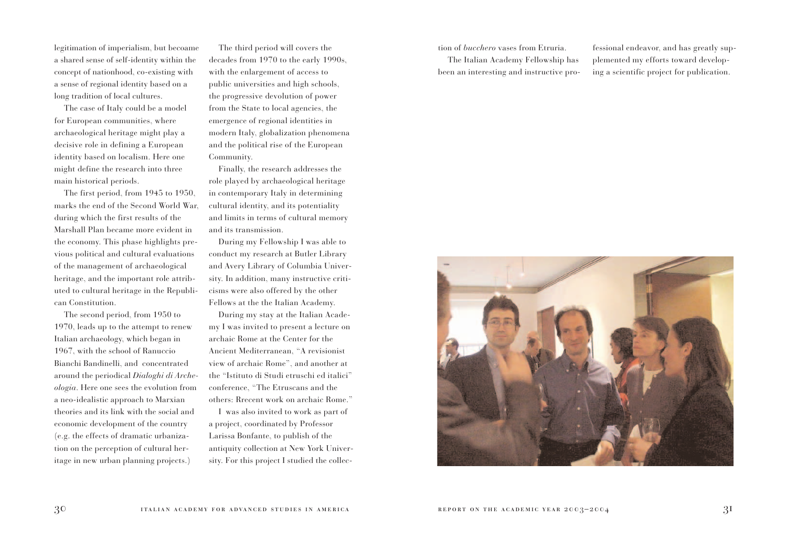legitimation of imperialism, but becoame a shared sense of self-identity within the concept of nationhood, co-existing with a sense of regional identity based on a long tradition of local cultures.

The case of Italy could be a model for European communities, where archaeological heritage might play a decisive role in defining a European identity based on localism. Here one might define the research into three main historical periods.

The first period, from 1945 to 1950, marks the end of the Second World War, during which the first results of the Marshall Plan became more evident in the economy. This phase highlights previous political and cultural evaluations of the management of archaeological heritage, and the important role attributed to cultural heritage in the Republican Constitution.

The second period, from 1950 to 1970, leads up to the attempt to renew Italian archaeology, which began in 1967, with the school of Ranuccio Bianchi Bandinelli, and concentrated around the periodical *Dialoghi di Archeologia*. Here one sees the evolution from a neo-idealistic approach to Marxian theories and its link with the social and economic development of the country (e.g. the effects of dramatic urbanization on the perception of cultural heritage in new urban planning projects.)

The third period will covers the decades from 1970 to the early 1990s, with the enlargement of access to public universities and high schools, the progressive devolution of power from the State to local agencies, the emergence of regional identities in modern Italy, globalization phenomena and the political rise of the European Community.

Finally, the research addresses the role played by archaeological heritage in contemporary Italy in determining cultural identity, and its potentiality and limits in terms of cultural memory and its transmission.

During my Fellowship I was able to conduct my research at Butler Library and Avery Library of Columbia University. In addition, many instructive criticisms were also offered by the other Fellows at the the Italian Academy.

During my stay at the Italian Academy I was invited to present a lecture on archaic Rome at the Center for the Ancient Mediterranean, "A revisionist view of archaic Rome", and another at the "Istituto di Studi etruschi ed italici" conference, "The Etruscans and the others: Rrecent work on archaic Rome."

I was also invited to work as part of a project, coordinated by Professor Larissa Bonfante, to publish of the antiquity collection at New York University. For this project I studied the collection of *bucchero* vases from Etruria.

The Italian Academy Fellowship has been an interesting and instructive pro-

fessional endeavor, and has greatly supplemented my efforts toward developing a scientific project for publication.

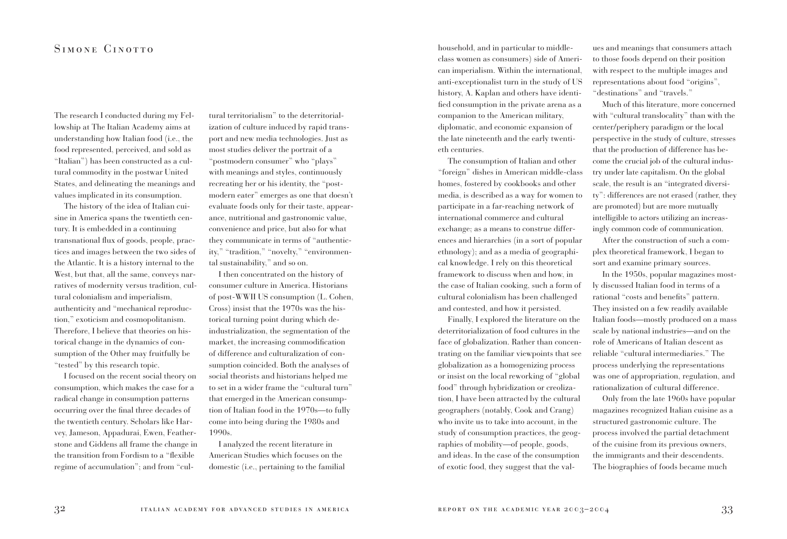## SIMONE CINOTTO

The research I conducted during my Fellowship at The Italian Academy aims at understanding how Italian food (i.e., the food represented, perceived, and sold as "Italian") has been constructed as a cultural commodity in the postwar United States, and delineating the meanings and values implicated in its consumption.

The history of the idea of Italian cuisine in America spans the twentieth century. It is embedded in a continuing transnational flux of goods, people, practices and images between the two sides of the Atlantic. It is a history internal to the West, but that, all the same, conveys narratives of modernity versus tradition, cultural colonialism and imperialism, authenticity and "mechanical reproduction," exoticism and cosmopolitanism. Therefore, I believe that theories on historical change in the dynamics of consumption of the Other may fruitfully be "tested" by this research topic.

I focused on the recent social theory on consumption, which makes the case for a radical change in consumption patterns occurring over the final three decades of the twentieth century. Scholars like Harvey, Jameson, Appadurai, Ewen, Featherstone and Giddens all frame the change in the transition from Fordism to a "flexible regime of accumulation"; and from "cultural territorialism" to the deterritorialization of culture induced by rapid transport and new media technologies. Just as most studies deliver the portrait of a "postmodern consumer" who "plays" with meanings and styles, continuously recreating her or his identity, the "postmodern eater" emerges as one that doesn't evaluate foods only for their taste, appearance, nutritional and gastronomic value, convenience and price, but also for what they communicate in terms of "authenticity," "tradition," "novelty," "environmental sustainability," and so on.

I then concentrated on the history of consumer culture in America. Historians of post-WWII US consumption (L. Cohen, Cross) insist that the 1970s was the historical turning point during which deindustrialization, the segmentation of the market, the increasing commodification of difference and culturalization of consumption coincided. Both the analyses of social theorists and historians helped me to set in a wider frame the "cultural turn" that emerged in the American consumption of Italian food in the 1970s—to fully come into being during the 1980s and 1990s.

I analyzed the recent literature in American Studies which focuses on the domestic (i.e., pertaining to the familial household, and in particular to middleclass women as consumers) side of American imperialism. Within the international, anti-exceptionalist turn in the study of US history, A. Kaplan and others have identified consumption in the private arena as a companion to the American military, diplomatic, and economic expansion of the late nineteenth and the early twentieth centuries.

The consumption of Italian and other "foreign" dishes in American middle-class homes, fostered by cookbooks and other media, is described as a way for women to participate in a far-reaching network of international commerce and cultural exchange; as a means to construe differences and hierarchies (in a sort of popular ethnology); and as a media of geographical knowledge. I rely on this theoretical framework to discuss when and how, in the case of Italian cooking, such a form of cultural colonialism has been challenged and contested, and how it persisted.

Finally, I explored the literature on the deterritorialization of food cultures in the face of globalization. Rather than concentrating on the familiar viewpoints that see globalization as a homogenizing process or insist on the local reworking of "global food" through hybridization or creolization, I have been attracted by the cultural geographers (notably, Cook and Crang) who invite us to take into account, in the study of consumption practices, the geographies of mobility—of people, goods, and ideas. In the case of the consumption of exotic food, they suggest that the val-

ues and meanings that consumers attach to those foods depend on their position with respect to the multiple images and representations about food "origins", "destinations" and "travels."

Much of this literature, more concerned with "cultural translocality" than with the center/periphery paradigm or the local perspective in the study of culture, stresses that the production of difference has become the crucial job of the cultural industry under late capitalism. On the global scale, the result is an "integrated diversity": differences are not erased (rather, they are promoted) but are more mutually intelligible to actors utilizing an increasingly common code of communication.

After the construction of such a complex theoretical framework, I began to sort and examine primary sources.

In the 1950s, popular magazines mostly discussed Italian food in terms of a rational "costs and benefits" pattern. They insisted on a few readily available Italian foods—mostly produced on a mass scale by national industries—and on the role of Americans of Italian descent as reliable "cultural intermediaries." The process underlying the representations was one of appropriation, regulation, and rationalization of cultural difference.

Only from the late 1960s have popular magazines recognized Italian cuisine as a structured gastronomic culture. The process involved the partial detachment of the cuisine from its previous owners, the immigrants and their descendents. The biographies of foods became much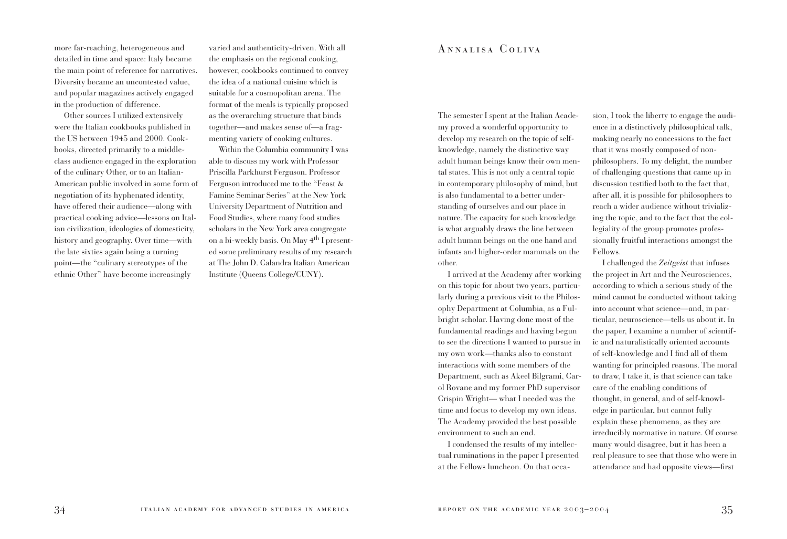more far-reaching, heterogeneous and Annalisa Coliva varied and authenticity-driven. With all detailed in time and space: Italy became the main point of reference for narratives. Diversity became an uncontested value, and popular magazines actively engaged in the production of difference.

Other sources I utilized extensively were the Italian cookbooks published in the US between 1945 and 2000. Cookbooks, directed primarily to a middleclass audience engaged in the exploration of the culinary Other, or to an Italian-American public involved in some form of negotiation of its hyphenated identity, have offered their audience—along with practical cooking advice—lessons on Italian civilization, ideologies of domesticity, history and geography. Over time—with the late sixties again being a turning point—the "culinary stereotypes of the ethnic Other" have become increasingly

the emphasis on the regional cooking, however, cookbooks continued to convey the idea of a national cuisine which is suitable for a cosmopolitan arena. The format of the meals is typically proposed as the overarching structure that binds together—and makes sense of—a fragmenting variety of cooking cultures.

Within the Columbia community I was able to discuss my work with Professor Priscilla Parkhurst Ferguson. Professor Ferguson introduced me to the "Feast & Famine Seminar Series" at the New York University Department of Nutrition and Food Studies, where many food studies scholars in the New York area congregate on a bi-weekly basis. On May 4th I presented some preliminary results of my research at The John D. Calandra Italian American Institute (Queens College/CUNY).

The semester I spent at the Italian Academy proved a wonderful opportunity to develop my research on the topic of selfknowledge, namely the distinctive way adult human beings know their own mental states. This is not only a central topic in contemporary philosophy of mind, but is also fundamental to a better understanding of ourselves and our place in nature. The capacity for such knowledge is what arguably draws the line between adult human beings on the one hand and infants and higher-order mammals on the other.

I arrived at the Academy after working on this topic for about two years, particularly during a previous visit to the Philosophy Department at Columbia, as a Fulbright scholar. Having done most of the fundamental readings and having begun to see the directions I wanted to pursue in my own work—thanks also to constant interactions with some members of the Department, such as Akeel Bilgrami, Carol Rovane and my former PhD supervisor Crispin Wright— what I needed was the time and focus to develop my own ideas. The Academy provided the best possible environment to such an end.

I condensed the results of my intellectual ruminations in the paper I presented at the Fellows luncheon. On that occa-

sion, I took the liberty to engage the audience in a distinctively philosophical talk, making nearly no concessions to the fact that it was mostly composed of nonphilosophers. To my delight, the number of challenging questions that came up in discussion testified both to the fact that, after all, it is possible for philosophers to reach a wider audience without trivializing the topic, and to the fact that the collegiality of the group promotes professionally fruitful interactions amongst the Fellows.

I challenged the *Zeitgeist* that infuses the project in Art and the Neurosciences, according to which a serious study of the mind cannot be conducted without taking into account what science—and, in particular, neuroscience—tells us about it. In the paper, I examine a number of scientific and naturalistically oriented accounts of self-knowledge and I find all of them wanting for principled reasons. The moral to draw, I take it, is that science can take care of the enabling conditions of thought, in general, and of self-knowledge in particular, but cannot fully explain these phenomena, as they are irreducibly normative in nature. Of course many would disagree, but it has been a real pleasure to see that those who were in attendance and had opposite views—first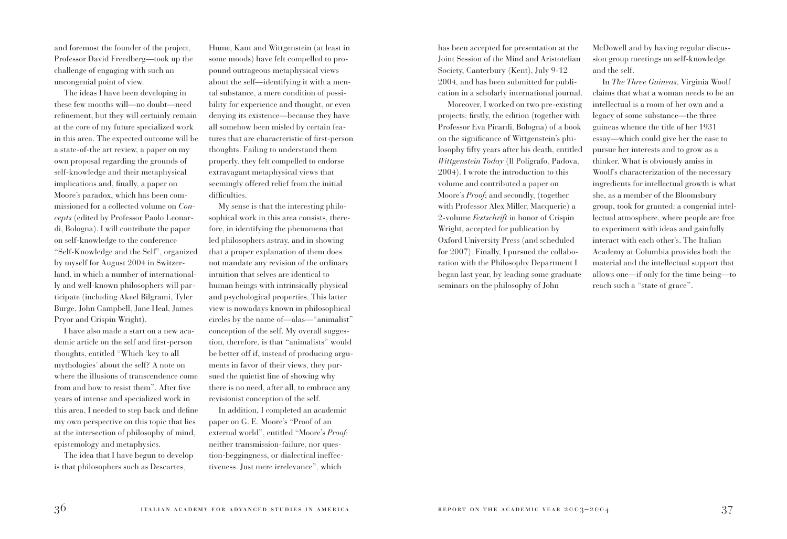and foremost the founder of the project, Professor David Freedberg—took up the challenge of engaging with such an uncongenial point of view.

The ideas I have been developing in these few months will—no doubt—need refinement, but they will certainly remain at the core of my future specialized work in this area. The expected outcome will be a state-of-the art review, a paper on my own proposal regarding the grounds of self-knowledge and their metaphysical implications and, finally, a paper on Moore's paradox, which has been commissioned for a collected volume on *Concepts* (edited by Professor Paolo Leonardi, Bologna). I will contribute the paper on self-knowledge to the conference "Self-Knowledge and the Self", organized by myself for August 2004 in Switzerland, in which a number of internationally and well-known philosophers will participate (including Akeel Bilgrami, Tyler Burge, John Campbell, Jane Heal, James Pryor and Crispin Wright).

I have also made a start on a new academic article on the self and first-person thoughts, entitled "Which 'key to all mythologies' about the self? A note on where the illusions of transcendence come from and how to resist them". After five years of intense and specialized work in this area, I needed to step back and define my own perspective on this topic that lies at the intersection of philosophy of mind, epistemology and metaphysics.

The idea that I have begun to develop is that philosophers such as Descartes,

Hume, Kant and Wittgenstein (at least in some moods) have felt compelled to propound outrageous metaphysical views about the self—identifying it with a mental substance, a mere condition of possibility for experience and thought, or even denying its existence—because they have all somehow been misled by certain features that are characteristic of first-person thoughts. Failing to understand them properly, they felt compelled to endorse extravagant metaphysical views that seemingly offered relief from the initial difficulties.

My sense is that the interesting philosophical work in this area consists, therefore, in identifying the phenomena that led philosophers astray, and in showing that a proper explanation of them does not mandate any revision of the ordinary intuition that selves are identical to human beings with intrinsically physical and psychological properties. This latter view is nowadays known in philosophical circles by the name of—alas—"animalist" conception of the self. My overall suggestion, therefore, is that "animalists" would be better off if, instead of producing arguments in favor of their views, they pursued the quietist line of showing why there is no need, after all, to embrace any revisionist conception of the self.

In addition, I completed an academic paper on G. E. Moore's "Proof of an external world", entitled "Moore's *Proof*: neither transmission-failure, nor question-beggingness, or dialectical ineffectiveness. Just mere irrelevance", which

has been accepted for presentation at the Joint Session of the Mind and Aristotelian Society, Canterbury (Kent), July 9-12 2004, and has been submitted for publication in a scholarly international journal.

Moreover, I worked on two pre-existing projects: firstly, the edition (together with Professor Eva Picardi, Bologna) of a book on the significance of Wittgenstein's philosophy fifty years after his death, entitled *Wittgenstein Today* (Il Poligrafo, Padova, 2004). I wrote the introduction to this volume and contributed a paper on Moore's *Proof*; and secondly, (together with Professor Alex Miller, Macquerie) a 2-volume *Festschrift* in honor of Crispin Wright, accepted for publication by Oxford University Press (and scheduled for 2007). Finally, I pursued the collaboration with the Philosophy Department I began last year, by leading some graduate seminars on the philosophy of John

McDowell and by having regular discussion group meetings on self-knowledge and the self.

In *The Three Guineas*, Virginia Woolf claims that what a woman needs to be an intellectual is a room of her own and a legacy of some substance—the three guineas whence the title of her 1931 essay—which could give her the ease to pursue her interests and to grow as a thinker. What is obviously amiss in Woolf's characterization of the necessary ingredients for intellectual growth is what she, as a member of the Bloomsbury group, took for granted: a congenial intellectual atmosphere, where people are free to experiment with ideas and gainfully interact with each other's. The Italian Academy at Columbia provides both the material and the intellectual support that allows one—if only for the time being—to reach such a "state of grace".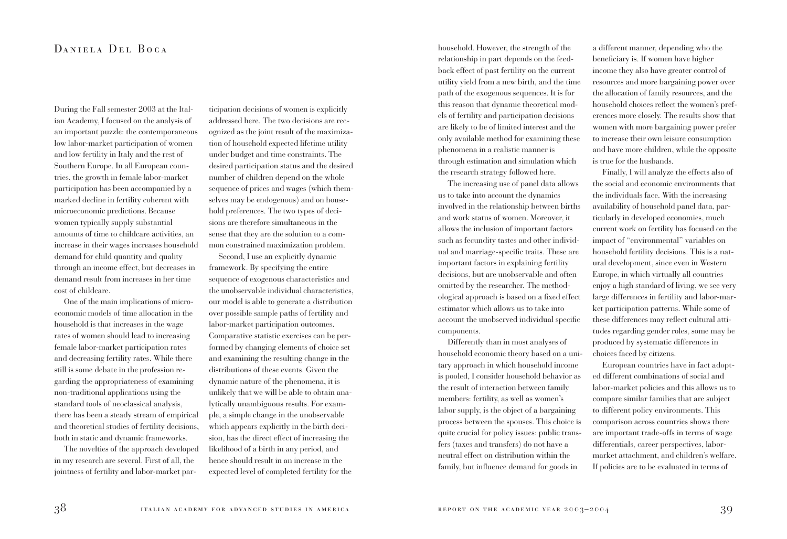## Daniela Del Boca

During the Fall semester 2003 at the Italian Academy, I focused on the analysis of an important puzzle: the contemporaneous low labor-market participation of women and low fertility in Italy and the rest of Southern Europe. In all European countries, the growth in female labor-market participation has been accompanied by a marked decline in fertility coherent with microeconomic predictions. Because women typically supply substantial amounts of time to childcare activities, an increase in their wages increases household demand for child quantity and quality through an income effect, but decreases in demand result from increases in her time cost of childcare.

One of the main implications of microeconomic models of time allocation in the household is that increases in the wage rates of women should lead to increasing female labor-market participation rates and decreasing fertility rates. While there still is some debate in the profession regarding the appropriateness of examining non-traditional applications using the standard tools of neoclassical analysis, there has been a steady stream of empirical and theoretical studies of fertility decisions, both in static and dynamic frameworks.

The novelties of the approach developed in my research are several. First of all, the jointness of fertility and labor-market par-

ticipation decisions of women is explicitly addressed here. The two decisions are recognized as the joint result of the maximization of household expected lifetime utility under budget and time constraints. The desired participation status and the desired number of children depend on the whole sequence of prices and wages (which themselves may be endogenous) and on household preferences. The two types of decisions are therefore simultaneous in the sense that they are the solution to a common constrained maximization problem.

Second, I use an explicitly dynamic framework. By specifying the entire sequence of exogenous characteristics and the unobservable individual characteristics, our model is able to generate a distribution over possible sample paths of fertility and labor-market participation outcomes. Comparative statistic exercises can be performed by changing elements of choice set and examining the resulting change in the distributions of these events. Given the dynamic nature of the phenomena, it is unlikely that we will be able to obtain analytically unambiguous results. For example, a simple change in the unobservable which appears explicitly in the birth decision, has the direct effect of increasing the likelihood of a birth in any period, and hence should result in an increase in the expected level of completed fertility for the

household. However, the strength of the relationship in part depends on the feedback effect of past fertility on the current utility yield from a new birth, and the time path of the exogenous sequences. It is for this reason that dynamic theoretical models of fertility and participation decisions are likely to be of limited interest and the only available method for examining these phenomena in a realistic manner is through estimation and simulation which the research strategy followed here.

The increasing use of panel data allows us to take into account the dynamics involved in the relationship between births and work status of women. Moreover, it allows the inclusion of important factors such as fecundity tastes and other individual and marriage-specific traits. These are important factors in explaining fertility decisions, but are unobservable and often omitted by the researcher. The methodological approach is based on a fixed effect estimator which allows us to take into account the unobserved individual specific components.

Differently than in most analyses of household economic theory based on a unitary approach in which household income is pooled, I consider household behavior as the result of interaction between family members: fertility, as well as women's labor supply, is the object of a bargaining process between the spouses. This choice is quite crucial for policy issues: public transfers (taxes and transfers) do not have a neutral effect on distribution within the family, but influence demand for goods in

a different manner, depending who the beneficiary is. If women have higher income they also have greater control of resources and more bargaining power over the allocation of family resources, and the household choices reflect the women's preferences more closely. The results show that women with more bargaining power prefer to increase their own leisure consumption and have more children, while the opposite is true for the husbands.

Finally, I will analyze the effects also of the social and economic environments that the individuals face. With the increasing availability of household panel data, particularly in developed economies, much current work on fertility has focused on the impact of "environmental" variables on household fertility decisions. This is a natural development, since even in Western Europe, in which virtually all countries enjoy a high standard of living, we see very large differences in fertility and labor-market participation patterns. While some of these differences may reflect cultural attitudes regarding gender roles, some may be produced by systematic differences in choices faced by citizens.

European countries have in fact adopted different combinations of social and labor-market policies and this allows us to compare similar families that are subject to different policy environments. This comparison across countries shows there are important trade-offs in terms of wage differentials, career perspectives, labormarket attachment, and children's welfare. If policies are to be evaluated in terms of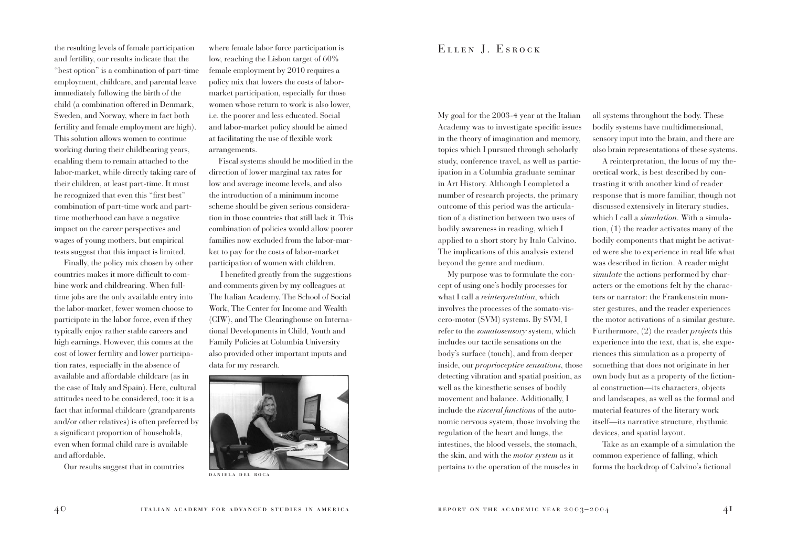the resulting levels of female participation and fertility, our results indicate that the "best option" is a combination of part-time employment, childcare, and parental leave immediately following the birth of the child (a combination offered in Denmark, Sweden, and Norway, where in fact both fertility and female employment are high). This solution allows women to continue working during their childbearing years, enabling them to remain attached to the labor-market, while directly taking care of their children, at least part-time. It must be recognized that even this "first best" combination of part-time work and parttime motherhood can have a negative impact on the career perspectives and wages of young mothers, but empirical tests suggest that this impact is limited.

Finally, the policy mix chosen by other countries makes it more difficult to combine work and childrearing. When fulltime jobs are the only available entry into the labor-market, fewer women choose to participate in the labor force, even if they typically enjoy rather stable careers and high earnings. However, this comes at the cost of lower fertility and lower participation rates, especially in the absence of available and affordable childcare (as in the case of Italy and Spain). Here, cultural attitudes need to be considered, too: it is a fact that informal childcare (grandparents and/or other relatives) is often preferred by a significant proportion of households, even when formal child care is available and affordable.

Our results suggest that in countries

where female labor force participation is low, reaching the Lisbon target of 60% female employment by 2010 requires a policy mix that lowers the costs of labormarket participation, especially for those women whose return to work is also lower, i.e. the poorer and less educated. Social and labor-market policy should be aimed at facilitating the use of flexible work arrangements.

Fiscal systems should be modified in the direction of lower marginal tax rates for low and average income levels, and also the introduction of a minimum income scheme should be given serious consideration in those countries that still lack it. This combination of policies would allow poorer families now excluded from the labor-market to pay for the costs of labor-market participation of women with children.

I benefited greatly from the suggestions and comments given by my colleagues at The Italian Academy. The School of Social Work, The Center for Income and Wealth (CIW), and The Clearinghouse on International Developments in Child, Youth and Family Policies at Columbia University also provided other important inputs and data for my research.



daniela del boca

## Ellen J. Esrock

My goal for the 2003-4 year at the Italian Academy was to investigate specific issues in the theory of imagination and memory, topics which I pursued through scholarly study, conference travel, as well as participation in a Columbia graduate seminar in Art History. Although I completed a number of research projects, the primary outcome of this period was the articulation of a distinction between two uses of bodily awareness in reading, which I applied to a short story by Italo Calvino. The implications of this analysis extend beyond the genre and medium.

My purpose was to formulate the concept of using one's bodily processes for what I call a *reinterpretation*, which involves the processes of the somato-viscero-motor (SVM) systems. By SVM, I refer to the *somatosensory* system, which includes our tactile sensations on the body's surface (touch), and from deeper inside, our *proprioceptive sensations*, those detecting vibration and spatial position, as well as the kinesthetic senses of bodily movement and balance. Additionally, I include the *visceral functions* of the autonomic nervous system, those involving the regulation of the heart and lungs, the intestines, the blood vessels, the stomach, the skin, and with the *motor system* as it pertains to the operation of the muscles in

all systems throughout the body. These bodily systems have multidimensional, sensory input into the brain, and there are also brain representations of these systems.

A reinterpretation, the locus of my theoretical work, is best described by contrasting it with another kind of reader response that is more familiar, though not discussed extensively in literary studies, which I call a *simulation*. With a simulation, (1) the reader activates many of the bodily components that might be activated were she to experience in real life what was described in fiction. A reader might *simulate* the actions performed by characters or the emotions felt by the characters or narrator: the Frankenstein monster gestures, and the reader experiences the motor activations of a similar gesture. Furthermore, (2) the reader *projects* this experience into the text, that is, she experiences this simulation as a property of something that does not originate in her own body but as a property of the fictional construction—its characters, objects and landscapes, as well as the formal and material features of the literary work itself—its narrative structure, rhythmic devices, and spatial layout.

Take as an example of a simulation the common experience of falling, which forms the backdrop of Calvino's fictional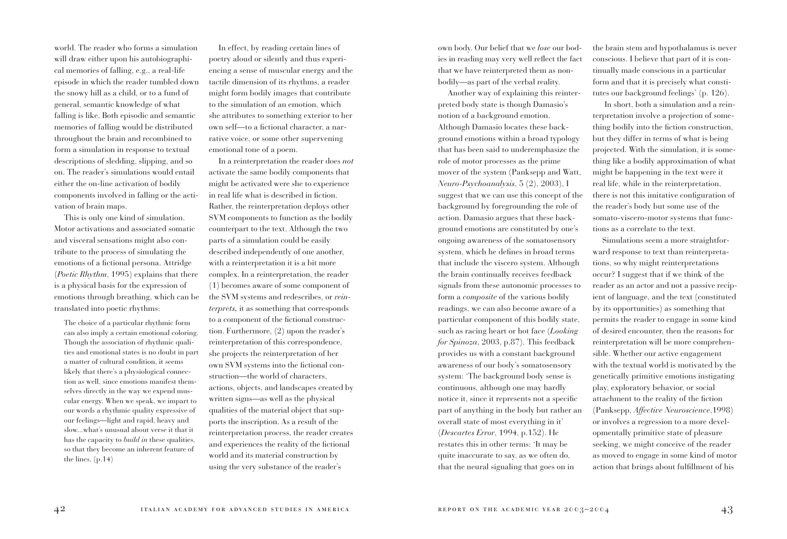world. The reader who forms a simulation will draw either upon his autobiographical memories of falling, e.g., a real-life episode in which the reader tumbled down the snowy hill as a child, or to a fund of general, semantic knowledge of what falling is like. Both episodic and semantic memories of falling would be distributed throughout the brain and recombined to form a simulation in response to textual descriptions of sledding, slipping, and so on. The reader's simulations would entail either the on-line activation of bodily components involved in falling or the activation of brain maps.

This is only one kind of simulation. Motor activations and associated somatic and visceral sensations might also contribute to the process of simulating the emotions of a fictional persona. Attridge (*Poetic Rhythm*, 1995) explains that there is a physical basis for the expression of emotions through breathing, which can be translated into poetic rhythms:

The choice of a particular rhythmic form can also imply a certain emotional coloring. Though the association of rhythmic qualities and emotional states is no doubt in part a matter of cultural condition, it seems likely that there's a physiological connection as well, since emotions manifest themselves directly in the way we expend muscular energy. When we speak, we impart to our words a rhythmic quality expressive of our feelings—light and rapid, heavy and slow...what's unusual about verse it that it has the capacity to *build in* these qualities, so that they become an inherent feature of the lines. (p.14)

In effect, by reading certain lines of poetry aloud or silently and thus experiencing a sense of muscular energy and the tactile dimension of its rhythms, a reader might form bodily images that contribute to the simulation of an emotion, which she attributes to something exterior to her own self—to a fictional character, a narrative voice, or some other supervening emotional tone of a poem.

In a reinterpretation the reader does *not* activate the same bodily components that might be activated were she to experience in real life what is described in fiction. Rather, the reinterpretation deploys other SVM components to function as the bodily counterpart to the text. Although the two parts of a simulation could be easily described independently of one another, with a reinterpretation it is a bit more complex. In a reinterpretation, the reader (1) becomes aware of some component of the SVM systems and redescribes, or *reinterprets,* it as something that corresponds to a component of the fictional construction. Furthermore, (2) upon the reader's reinterpretation of this correspondence, she projects the reinterpretation of her own SVM systems into the fictional construction—the world of characters, actions, objects, and landscapes created by written signs—as well as the physical qualities of the material object that supports the inscription. As a result of the reinterpretation process, the reader creates and experiences the reality of the fictional world and its material construction by using the very substance of the reader's

own body. Our belief that we *lose* our bodies in reading may very well reflect the fact that we have reinterpreted them as nonbodily—as part of the verbal reality.

Another way of explaining this reinterpreted body state is though Damasio's notion of a background emotion. Although Damasio locates these background emotions within a broad typology that has been said to underemphasize the role of motor processes as the prime mover of the system (Panksepp and Watt, *Neuro-Psychoanalysis*, 5 (2), 2003), I suggest that we can use this concept of the background by foregrounding the role of action. Damasio argues that these background emotions are constituted by one's ongoing awareness of the somatosensory system, which he defines in broad terms that include the viscero system. Although the brain continually receives feedback signals from these autonomic processes to form a *composite* of the various bodily readings, we can also become aware of a particular component of this bodily state, such as racing heart or hot face (*Looking for Spinoza*, 2003, p.87). This feedback provides us with a constant background awareness of our body's somatosensory system: 'The background body sense is continuous, although one may hardly notice it, since it represents not a specific part of anything in the body but rather an overall state of most everything in it' (*Descartes Error*, 1994, p.152). He restates this in other terms: 'It may be quite inaccurate to say, as we often do, that the neural signaling that goes on in

the brain stem and hypothalamus is never conscious. I believe that part of it is continually made conscious in a particular form and that it is precisely what constitutes our background feelings' (p. 126).

In short, both a simulation and a reinterpretation involve a projection of something bodily into the fiction construction, but they differ in terms of what is being projected. With the simulation, it is something like a bodily approximation of what might be happening in the text were it real life, while in the reinterpretation, there is not this imitative configuration of the reader's body but some use of the somato-viscero-motor systems that functions as a correlate to the text.

Simulations seem a more straightforward response to text than reinterpretations, so why might reinterpretations occur? I suggest that if we think of the reader as an actor and not a passive recipient of language, and the text (constituted by its opportunities) as something that permits the reader to engage in some kind of desired encounter, then the reasons for reinterpretation will be more comprehensible. Whether our active engagement with the textual world is motivated by the genetically primitive emotions instigating play, exploratory behavior, or social attachment to the reality of the fiction (Panksepp, *Affective Neuroscience*,1998) or involves a regression to a more developmentally primitive state of pleasure seeking, we might conceive of the reader as moved to engage in some kind of motor action that brings about fulfillment of his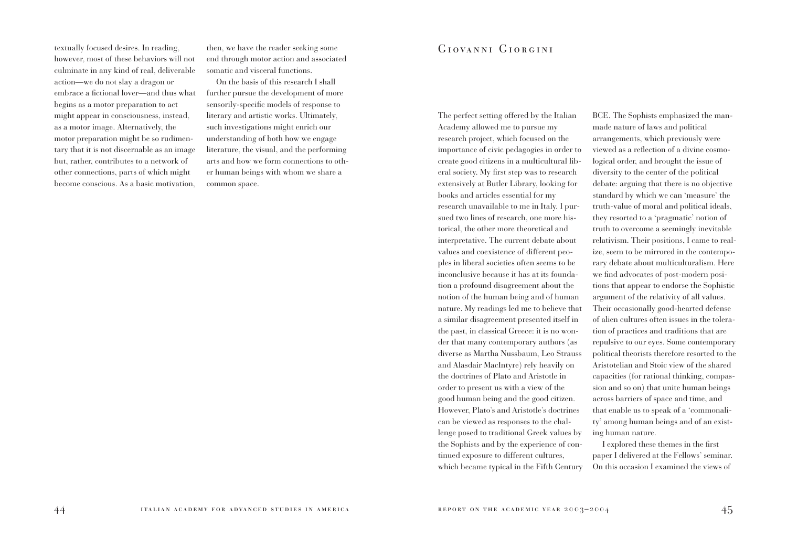however, most of these behaviors will not culminate in any kind of real, deliverable action—we do not slay a dragon or embrace a fictional lover—and thus what begins as a motor preparation to act might appear in consciousness, instead, as a motor image. Alternatively, the motor preparation might be so rudimentary that it is not discernable as an image but, rather, contributes to a network of other connections, parts of which might become conscious. As a basic motivation,

textually focused desires. In reading,  $\qquad\qquad$  then, we have the reader seeking some  $\qquad\qquad\qquad$   $G$  I O VANNI  $\qquad$   $G$  I O R G I N I end through motor action and associated somatic and visceral functions.

> On the basis of this research I shall further pursue the development of more sensorily-specific models of response to literary and artistic works. Ultimately, such investigations might enrich our understanding of both how we engage literature, the visual, and the performing arts and how we form connections to other human beings with whom we share a common space.

The perfect setting offered by the Italian Academy allowed me to pursue my research project, which focused on the importance of civic pedagogies in order to create good citizens in a multicultural liberal society. My first step was to research extensively at Butler Library, looking for books and articles essential for my research unavailable to me in Italy. I pursued two lines of research, one more historical, the other more theoretical and interpretative. The current debate about values and coexistence of different peoples in liberal societies often seems to be inconclusive because it has at its foundation a profound disagreement about the notion of the human being and of human nature. My readings led me to believe that a similar disagreement presented itself in the past, in classical Greece: it is no wonder that many contemporary authors (as diverse as Martha Nussbaum, Leo Strauss and Alasdair MacIntyre) rely heavily on the doctrines of Plato and Aristotle in order to present us with a view of the good human being and the good citizen. However, Plato's and Aristotle's doctrines can be viewed as responses to the challenge posed to traditional Greek values by the Sophists and by the experience of continued exposure to different cultures, which became typical in the Fifth Century

BCE. The Sophists emphasized the manmade nature of laws and political arrangements, which previously were viewed as a reflection of a divine cosmological order, and brought the issue of diversity to the center of the political debate: arguing that there is no objective standard by which we can 'measure' the truth-value of moral and political ideals, they resorted to a 'pragmatic' notion of truth to overcome a seemingly inevitable relativism. Their positions, I came to realize, seem to be mirrored in the contemporary debate about multiculturalism. Here we find advocates of post-modern positions that appear to endorse the Sophistic argument of the relativity of all values. Their occasionally good-hearted defense of alien cultures often issues in the toleration of practices and traditions that are repulsive to our eyes. Some contemporary political theorists therefore resorted to the Aristotelian and Stoic view of the shared capacities (for rational thinking, compassion and so on) that unite human beings across barriers of space and time, and that enable us to speak of a 'commonality' among human beings and of an existing human nature.

I explored these themes in the first paper I delivered at the Fellows' seminar. On this occasion I examined the views of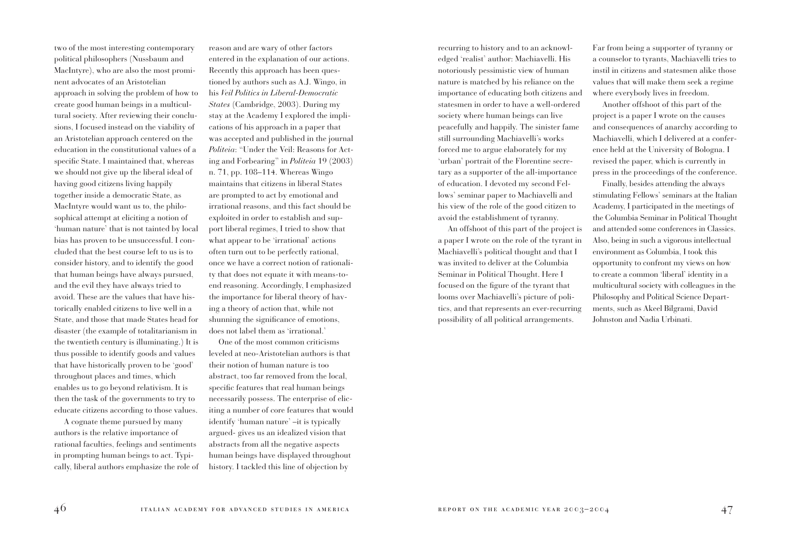two of the most interesting contemporary political philosophers (Nussbaum and MacIntyre), who are also the most prominent advocates of an Aristotelian approach in solving the problem of how to create good human beings in a multicultural society. After reviewing their conclusions, I focused instead on the viability of an Aristotelian approach centered on the education in the constitutional values of a specific State. I maintained that, whereas we should not give up the liberal ideal of having good citizens living happily together inside a democratic State, as MacIntyre would want us to, the philosophical attempt at eliciting a notion of 'human nature' that is not tainted by local bias has proven to be unsuccessful. I concluded that the best course left to us is to consider history, and to identify the good that human beings have always pursued, and the evil they have always tried to avoid. These are the values that have historically enabled citizens to live well in a State, and those that made States head for disaster (the example of totalitarianism in the twentieth century is illuminating.) It is thus possible to identify goods and values that have historically proven to be 'good' throughout places and times, which enables us to go beyond relativism. It is then the task of the governments to try to educate citizens according to those values.

A cognate theme pursued by many authors is the relative importance of rational faculties, feelings and sentiments in prompting human beings to act. Typically, liberal authors emphasize the role of reason and are wary of other factors entered in the explanation of our actions. Recently this approach has been questioned by authors such as A.J. Wingo, in his *Veil Politics in Liberal-Democratic States* (Cambridge, 2003). During my stay at the Academy I explored the implications of his approach in a paper that was accepted and published in the journal *Politeia*: "Under the Veil: Reasons for Acting and Forbearing" in *Politeia* 19 (2003) n. 71, pp. 108–114. Whereas Wingo maintains that citizens in liberal States are prompted to act by emotional and irrational reasons, and this fact should be exploited in order to establish and support liberal regimes, I tried to show that what appear to be 'irrational' actions often turn out to be perfectly rational, once we have a correct notion of rationality that does not equate it with means-toend reasoning. Accordingly, I emphasized the importance for liberal theory of having a theory of action that, while not shunning the significance of emotions, does not label them as 'irrational.'

One of the most common criticisms leveled at neo-Aristotelian authors is that their notion of human nature is too abstract, too far removed from the local, specific features that real human beings necessarily possess. The enterprise of eliciting a number of core features that would identify 'human nature' –it is typically argued- gives us an idealized vision that abstracts from all the negative aspects human beings have displayed throughout history. I tackled this line of objection by

recurring to history and to an acknowledged 'realist' author: Machiavelli. His notoriously pessimistic view of human nature is matched by his reliance on the importance of educating both citizens and statesmen in order to have a well-ordered society where human beings can live peacefully and happily. The sinister fame still surrounding Machiavelli's works forced me to argue elaborately for my 'urban' portrait of the Florentine secretary as a supporter of the all-importance of education. I devoted my second Fellows' seminar paper to Machiavelli and his view of the role of the good citizen to avoid the establishment of tyranny.

An offshoot of this part of the project is a paper I wrote on the role of the tyrant in Machiavelli's political thought and that I was invited to deliver at the Columbia Seminar in Political Thought. Here I focused on the figure of the tyrant that looms over Machiavelli's picture of politics, and that represents an ever-recurring possibility of all political arrangements.

Far from being a supporter of tyranny or a counselor to tyrants, Machiavelli tries to instil in citizens and statesmen alike those values that will make them seek a regime where everybody lives in freedom.

Another offshoot of this part of the project is a paper I wrote on the causes and consequences of anarchy according to Machiavelli, which I delivered at a conference held at the University of Bologna. I revised the paper, which is currently in press in the proceedings of the conference.

Finally, besides attending the always stimulating Fellows' seminars at the Italian Academy, I participated in the meetings of the Columbia Seminar in Political Thought and attended some conferences in Classics. Also, being in such a vigorous intellectual environment as Columbia, I took this opportunity to confront my views on how to create a common 'liberal' identity in a multicultural society with colleagues in the Philosophy and Political Science Departments, such as Akeel Bilgrami, David Johnston and Nadia Urbinati.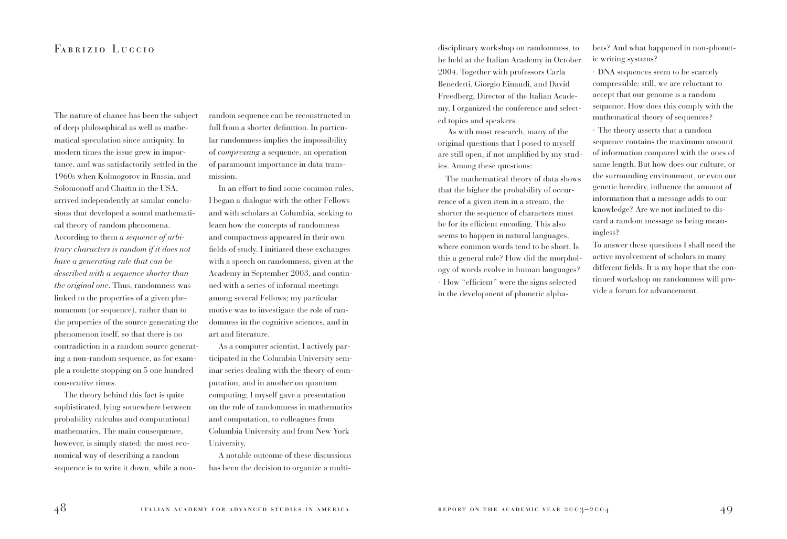## FABRIZIO LUCCIO

The nature of chance has been the subject of deep philosophical as well as mathematical speculation since antiquity. In modern times the issue grew in importance, and was satisfactorily settled in the 1960s when Kolmogorov in Russia, and Solomonoff and Chaitin in the USA, arrived independently at similar conclusions that developed a sound mathematical theory of random phenomena. According to them *a sequence of arbitrary characters is random if it does not have a generating rule that can be described with a sequence shorter than the original one*. Thus, randomness was linked to the properties of a given phenomenon (or sequence), rather than to the properties of the source generating the phenomenon itself, so that there is no contradiction in a random source generating a non-random sequence, as for example a roulette stopping on 5 one hundred consecutive times.

The theory behind this fact is quite sophisticated, lying somewhere between probability calculus and computational mathematics. The main consequence, however, is simply stated: the most economical way of describing a random sequence is to write it down, while a nonrandom sequence can be reconstructed in full from a shorter definition. In particular randomness implies the impossibility of *compressing* a sequence, an operation of paramount importance in data transmission.

In an effort to find some common rules, I began a dialogue with the other Fellows and with scholars at Columbia, seeking to learn how the concepts of randomness and compactness appeared in their own fields of study. I initiated these exchanges with a speech on randomness, given at the Academy in September 2003, and continued with a series of informal meetings among several Fellows; my particular motive was to investigate the role of randomness in the cognitive sciences, and in art and literature.

As a computer scientist, I actively participated in the Columbia University seminar series dealing with the theory of computation, and in another on quantum computing; I myself gave a presentation on the role of randomness in mathematics and computation, to colleagues from Columbia University and from New York University.

A notable outcome of these discussions has been the decision to organize a multi-

disciplinary workshop on randomness, to be held at the Italian Academy in October 2004. Together with professors Carla Benedetti, Giorgio Einaudi, and David Freedberg, Director of the Italian Academy, I organized the conference and selected topics and speakers.

As with most research, many of the original questions that I posed to myself are still open, if not amplified by my studies. Among these questions:

· The mathematical theory of data shows that the higher the probability of occurrence of a given item in a stream, the shorter the sequence of characters must be for its efficient encoding. This also seems to happen in natural languages, where common words tend to be short. Is this a general rule? How did the morphology of words evolve in human languages? · How "efficient" were the signs selected in the development of phonetic alphabets? And what happened in non-phonetic writing systems?

· DNA sequences seem to be scarcely compressible; still, we are reluctant to accept that our genome is a random sequence. How does this comply with the mathematical theory of sequences?

· The theory asserts that a random sequence contains the maximum amount of information compared with the ones of same length. But how does our culture, or the surrounding environment, or even our genetic heredity, influence the amount of information that a message adds to our knowledge? Are we not inclined to discard a random message as being meaningless?

To answer these questions I shall need the active involvement of scholars in many different fields. It is my hope that the continued workshop on randomness will provide a forum for advancement.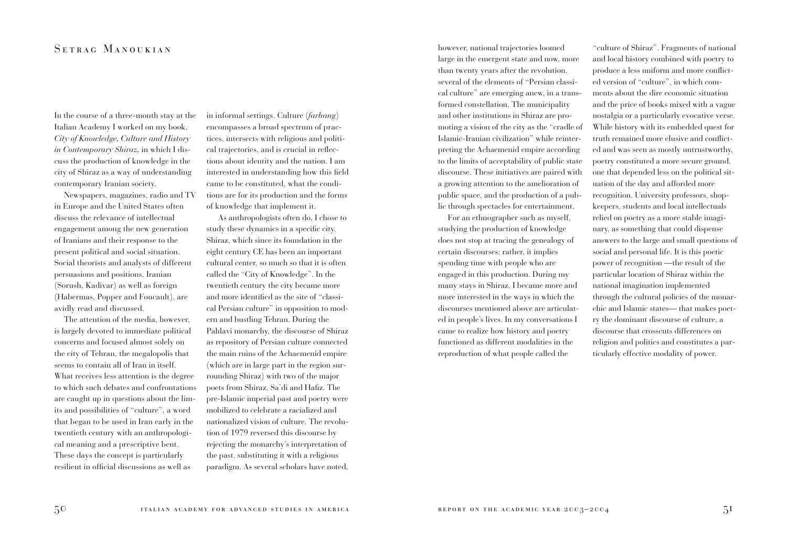## Setrag Manoukian

In the course of a three-month stay at the Italian Academy I worked on my book, *City of Knowledge, Culture and History in Contemporary Shiraz,* in which I discuss the production of knowledge in the city of Shiraz as a way of understanding contemporary Iranian society.

Newspapers, magazines, radio and TV in Europe and the United States often discuss the relevance of intellectual engagement among the new generation of Iranians and their response to the present political and social situation. Social theorists and analysts of different persuasions and positions, Iranian (Sorush, Kadivar) as well as foreign (Habermas, Popper and Foucault), are avidly read and discussed.

The attention of the media, however, is largely devoted to immediate political concerns and focused almost solely on the city of Tehran, the megalopolis that seems to contain all of Iran in itself. What receives less attention is the degree to which such debates and confrontations are caught up in questions about the limits and possibilities of "culture", a word that began to be used in Iran early in the twentieth century with an anthropological meaning and a prescriptive bent. These days the concept is particularly resilient in official discussions as well as

in informal settings. Culture (*farhang*) encompasses a broad spectrum of practices, intersects with religious and political trajectories, and is crucial in reflections about identity and the nation. I am interested in understanding how this field came to be constituted, what the conditions are for its production and the forms of knowledge that implement it.

As anthropologists often do, I chose to study these dynamics in a specific city, Shiraz, which since its foundation in the eight century CE has been an important cultural center, so much so that it is often called the "City of Knowledge". In the twentieth century the city became more and more identified as the site of "classical Persian culture" in opposition to modern and bustling Tehran. During the Pahlavi monarchy, the discourse of Shiraz as repository of Persian culture connected the main ruins of the Achaemenid empire (which are in large part in the region surrounding Shiraz) with two of the major poets from Shiraz, Sa'di and Hafiz. The pre-Islamic imperial past and poetry were mobilized to celebrate a racialized and nationalized vision of culture. The revolution of 1979 reversed this discourse by rejecting the monarchy's interpretation of the past, substituting it with a religious paradigm. As several scholars have noted,

however, national trajectories loomed large in the emergent state and now, more than twenty years after the revolution, several of the elements of "Persian classical culture" are emerging anew, in a transformed constellation. The municipality and other institutions in Shiraz are promoting a vision of the city as the "cradle of Islamic-Iranian civilization" while reinterpreting the Achaemenid empire according to the limits of acceptability of public state discourse. These initiatives are paired with a growing attention to the amelioration of public space, and the production of a public through spectacles for entertainment.

For an ethnographer such as myself, studying the production of knowledge does not stop at tracing the genealogy of certain discourses; rather, it implies spending time with people who are engaged in this production. During my many stays in Shiraz, I became more and more interested in the ways in which the discourses mentioned above are articulated in people's lives. In my conversations I came to realize how history and poetry functioned as different modalities in the reproduction of what people called the

"culture of Shiraz". Fragments of national and local history combined with poetry to produce a less uniform and more conflicted version of "culture", in which comments about the dire economic situation and the price of books mixed with a vague nostalgia or a particularly evocative verse. While history with its embedded quest for truth remained more elusive and conflicted and was seen as mostly untrustworthy, poetry constituted a more secure ground, one that depended less on the political situation of the day and afforded more recognition. University professors, shopkeepers, students and local intellectuals relied on poetry as a more stable imaginary, as something that could dispense answers to the large and small questions of social and personal life. It is this poetic power of recognition —the result of the particular location of Shiraz within the national imagination implemented through the cultural policies of the monarchic and Islamic states— that makes poetry the dominant discourse of culture, a discourse that crosscuts differences on religion and politics and constitutes a particularly effective modality of power.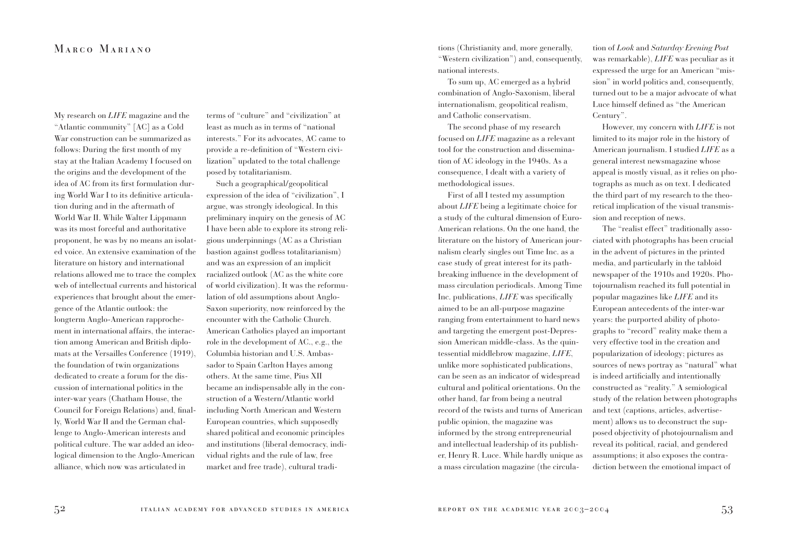## Marco Mariano

My research on *LIFE* magazine and the "Atlantic community" [AC] as a Cold War construction can be summarized as follows: During the first month of my stay at the Italian Academy I focused on the origins and the development of the idea of AC from its first formulation during World War I to its definitive articulation during and in the aftermath of World War II. While Walter Lippmann was its most forceful and authoritative proponent, he was by no means an isolated voice. An extensive examination of the literature on history and international relations allowed me to trace the complex web of intellectual currents and historical experiences that brought about the emergence of the Atlantic outlook: the longterm Anglo-American rapprochement in international affairs, the interaction among American and British diplomats at the Versailles Conference (1919), the foundation of twin organizations dedicated to create a forum for the discussion of international politics in the inter-war years (Chatham House, the Council for Foreign Relations) and, finally, World War II and the German challenge to Anglo-American interests and political culture. The war added an ideological dimension to the Anglo-American alliance, which now was articulated in

terms of "culture" and "civilization" at least as much as in terms of "national interests." For its advocates, AC came to provide a re-definition of "Western civilization" updated to the total challenge posed by totalitarianism.

Such a geographical/geopolitical expression of the idea of "civilization", I argue, was strongly ideological. In this preliminary inquiry on the genesis of AC I have been able to explore its strong religious underpinnings (AC as a Christian bastion against godless totalitarianism) and was an expression of an implicit racialized outlook (AC as the white core of world civilization). It was the reformulation of old assumptions about Anglo-Saxon superiority, now reinforced by the encounter with the Catholic Church. American Catholics played an important role in the development of AC., e.g., the Columbia historian and U.S. Ambassador to Spain Carlton Hayes among others. At the same time, Pius XII became an indispensable ally in the construction of a Western/Atlantic world including North American and Western European countries, which supposedly shared political and economic principles and institutions (liberal democracy, individual rights and the rule of law, free market and free trade), cultural traditions (Christianity and, more generally, "Western civilization") and, consequently, national interests.

To sum up, AC emerged as a hybrid combination of Anglo-Saxonism, liberal internationalism, geopolitical realism, and Catholic conservatism.

The second phase of my research focused on *LIFE* magazine as a relevant tool for the construction and dissemination of AC ideology in the 1940s. As a consequence, I dealt with a variety of methodological issues.

First of all I tested my assumption about *LIFE* being a legitimate choice for a study of the cultural dimension of Euro-American relations. On the one hand, the literature on the history of American journalism clearly singles out Time Inc. as a case study of great interest for its pathbreaking influence in the development of mass circulation periodicals. Among Time Inc. publications, *LIFE* was specifically aimed to be an all-purpose magazine ranging from entertainment to hard news and targeting the emergent post-Depression American middle-class. As the quintessential middlebrow magazine, *LIFE*, unlike more sophisticated publications, can be seen as an indicator of widespread cultural and political orientations. On the other hand, far from being a neutral record of the twists and turns of American public opinion, the magazine was informed by the strong entrepreneurial and intellectual leadership of its publisher, Henry R. Luce. While hardly unique as a mass circulation magazine (the circula-

tion of *Look* and *Saturday Evening Post* was remarkable), *LIFE* was peculiar as it expressed the urge for an American "mission" in world politics and, consequently, turned out to be a major advocate of what Luce himself defined as "the American Century".

However, my concern with *LIFE* is not limited to its major role in the history of American journalism. I studied *LIFE* as a general interest newsmagazine whose appeal is mostly visual, as it relies on photographs as much as on text. I dedicated the third part of my research to the theoretical implication of the visual transmission and reception of news.

The "realist effect" traditionally associated with photographs has been crucial in the advent of pictures in the printed media, and particularly in the tabloid newspaper of the 1910s and 1920s. Photojournalism reached its full potential in popular magazines like *LIFE* and its European antecedents of the inter-war years: the purported ability of photographs to "record" reality make them a very effective tool in the creation and popularization of ideology; pictures as sources of news portray as "natural" what is indeed artificially and intentionally constructed as "reality." A semiological study of the relation between photographs and text (captions, articles, advertisement) allows us to deconstruct the supposed objectivity of photojournalism and reveal its political, racial, and gendered assumptions; it also exposes the contradiction between the emotional impact of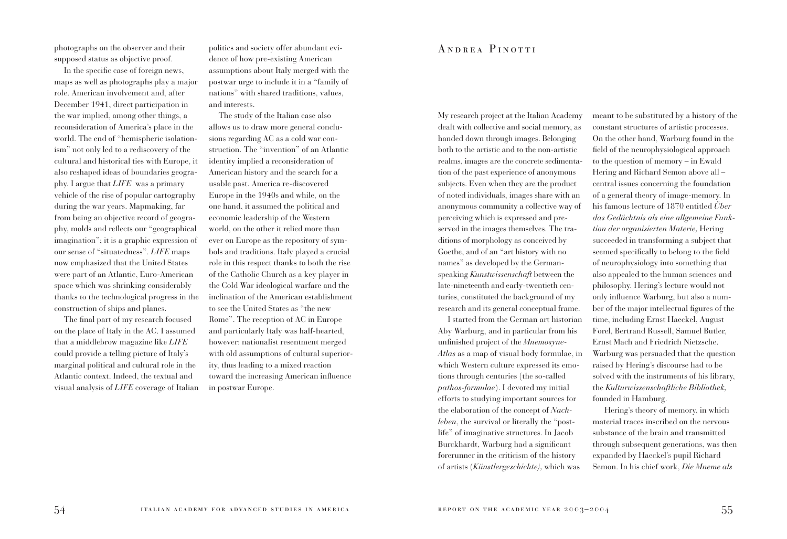supposed status as objective proof.

In the specific case of foreign news, maps as well as photographs play a major role. American involvement and, after December 1941, direct participation in the war implied, among other things, a reconsideration of America's place in the world. The end of "hemispheric isolationism" not only led to a rediscovery of the cultural and historical ties with Europe, it also reshaped ideas of boundaries geography. I argue that *LIFE* was a primary vehicle of the rise of popular cartography during the war years. Mapmaking, far from being an objective record of geography, molds and reflects our "geographical imagination"; it is a graphic expression of our sense of "situatedness". *LIFE* maps now emphasized that the United States were part of an Atlantic, Euro-American space which was shrinking considerably thanks to the technological progress in the construction of ships and planes.

The final part of my research focused on the place of Italy in the AC. I assumed that a middlebrow magazine like *LIFE* could provide a telling picture of Italy's marginal political and cultural role in the Atlantic context. Indeed, the textual and visual analysis of *LIFE* coverage of Italian

photographs on the observer and their politics and society offer abundant evi-  $A_{NDRE A}$   $P_{INOTTI}$ dence of how pre-existing American assumptions about Italy merged with the postwar urge to include it in a "family of nations" with shared traditions, values, and interests.

> The study of the Italian case also allows us to draw more general conclusions regarding AC as a cold war construction. The "invention" of an Atlantic identity implied a reconsideration of American history and the search for a usable past. America re-discovered Europe in the 1940s and while, on the one hand, it assumed the political and economic leadership of the Western world, on the other it relied more than ever on Europe as the repository of symbols and traditions. Italy played a crucial role in this respect thanks to both the rise of the Catholic Church as a key player in the Cold War ideological warfare and the inclination of the American establishment to see the United States as "the new Rome". The reception of AC in Europe and particularly Italy was half-hearted, however: nationalist resentment merged with old assumptions of cultural superiority, thus leading to a mixed reaction toward the increasing American influence in postwar Europe.

My research project at the Italian Academy dealt with collective and social memory, as handed down through images. Belonging both to the artistic and to the non-artistic realms, images are the concrete sedimentation of the past experience of anonymous subjects. Even when they are the product of noted individuals, images share with an anonymous community a collective way of perceiving which is expressed and preserved in the images themselves. The traditions of morphology as conceived by Goethe, and of an "art history with no names" as developed by the Germanspeaking *Kunstwissenschaft* between the late-nineteenth and early-twentieth centuries, constituted the background of my research and its general conceptual frame.

I started from the German art historian Aby Warburg, and in particular from his unfinished project of the *Mnemosyne-Atlas* as a map of visual body formulae, in which Western culture expressed its emotions through centuries (the so-called *pathos-formulae*). I devoted my initial efforts to studying important sources for the elaboration of the concept of *Nachleben*, the survival or literally the "postlife" of imaginative structures. In Jacob Burckhardt, Warburg had a significant forerunner in the criticism of the history of artists (*Künstlergeschichte),* which was

meant to be substituted by a history of the constant structures of artistic processes. On the other hand, Warburg found in the field of the neurophysiological approach to the question of memory – in Ewald Hering and Richard Semon above all – central issues concerning the foundation of a general theory of image-memory. In his famous lecture of 1870 entitled *Über das Gedächtnis als eine allgemeine Funktion der organisierten Materie,* Hering succeeded in transforming a subject that seemed specifically to belong to the field of neurophysiology into something that also appealed to the human sciences and philosophy. Hering's lecture would not only influence Warburg, but also a number of the major intellectual figures of the time, including Ernst Haeckel, August Forel, Bertrand Russell, Samuel Butler, Ernst Mach and Friedrich Nietzsche. Warburg was persuaded that the question raised by Hering's discourse had to be solved with the instruments of his library, the *Kulturwissenschaftliche Bibliothek,* founded in Hamburg.

Hering's theory of memory, in which material traces inscribed on the nervous substance of the brain and transmitted through subsequent generations, was then expanded by Haeckel's pupil Richard Semon. In his chief work, *Die Mneme als*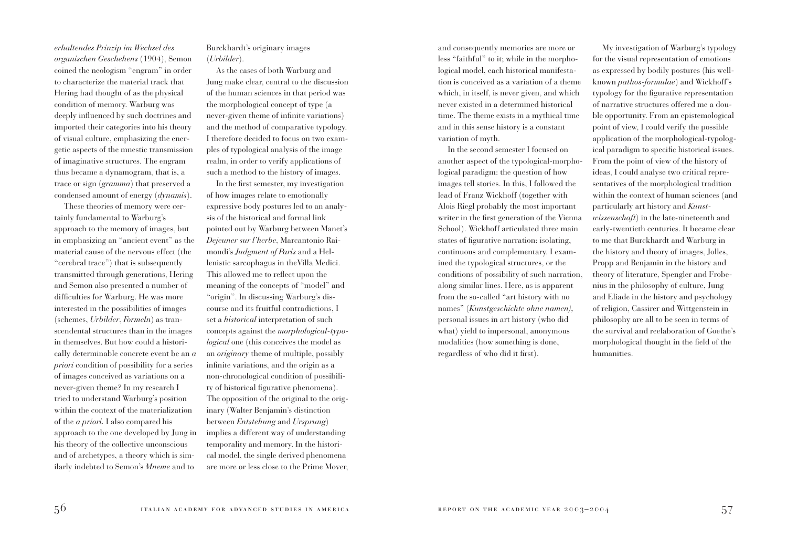*erhaltendes Prinzip im Wechsel des organischen Geschehens* (1904), Semon coined the neologism "engram" in order to characterize the material track that Hering had thought of as the physical condition of memory. Warburg was deeply influenced by such doctrines and imported their categories into his theory of visual culture, emphasizing the energetic aspects of the mnestic transmission of imaginative structures. The engram thus became a dynamogram, that is, a trace or sign (*gramma*) that preserved a condensed amount of energy (*dynamis*).

These theories of memory were certainly fundamental to Warburg's approach to the memory of images, but in emphasizing an "ancient event" as the material cause of the nervous effect (the "cerebral trace") that is subsequently transmitted through generations, Hering and Semon also presented a number of difficulties for Warburg. He was more interested in the possibilities of images (schemes, *Urbilder*, *Formeln*) as transcendental structures than in the images in themselves. But how could a historically determinable concrete event be an *a priori* condition of possibility for a series of images conceived as variations on a never-given theme? In my research I tried to understand Warburg's position within the context of the materialization of the *a priori.* I also compared his approach to the one developed by Jung in his theory of the collective unconscious and of archetypes, a theory which is similarly indebted to Semon's *Mneme* and to

Burckhardt's originary images (*Urbilder*).

As the cases of both Warburg and Jung make clear, central to the discussion of the human sciences in that period was the morphological concept of type (a never-given theme of infinite variations) and the method of comparative typology. I therefore decided to focus on two examples of typological analysis of the image realm, in order to verify applications of such a method to the history of images.

In the first semester, my investigation of how images relate to emotionally expressive body postures led to an analysis of the historical and formal link pointed out by Warburg between Manet's *Dejeuner sur l'herbe*, Marcantonio Raimondi's *Judgment of Paris* and a Hellenistic sarcophagus in theVilla Medici. This allowed me to reflect upon the meaning of the concepts of "model" and "origin". In discussing Warburg's discourse and its fruitful contradictions, I set a *historical* interpretation of such concepts against the *morphological-typological* one (this conceives the model as an *originary* theme of multiple, possibly infinite variations, and the origin as a non-chronological condition of possibility of historical figurative phenomena). The opposition of the original to the originary (Walter Benjamin's distinction between *Entstehung* and *Ursprung*) implies a different way of understanding temporality and memory. In the historical model, the single derived phenomena are more or less close to the Prime Mover,

and consequently memories are more or less "faithful" to it; while in the morphological model, each historical manifestation is conceived as a variation of a theme which, in itself, is never given, and which never existed in a determined historical time. The theme exists in a mythical time and in this sense history is a constant variation of myth.

In the second semester I focused on another aspect of the typological-morphological paradigm: the question of how images tell stories. In this, I followed the lead of Franz Wickhoff (together with Alois Riegl probably the most important writer in the first generation of the Vienna School). Wickhoff articulated three main states of figurative narration: isolating, continuous and complementary. I examined the typological structures, or the conditions of possibility of such narration, along similar lines. Here, as is apparent from the so-called "art history with no names" (*Kunstgeschichte ohne namen),* personal issues in art history (who did what) yield to impersonal, anonymous modalities (how something is done, regardless of who did it first).

My investigation of Warburg's typology for the visual representation of emotions as expressed by bodily postures (his wellknown *pathos-formulae*) and Wickhoff's typology for the figurative representation of narrative structures offered me a double opportunity. From an epistemological point of view, I could verify the possible application of the morphological-typological paradigm to specific historical issues. From the point of view of the history of ideas, I could analyse two critical representatives of the morphological tradition within the context of human sciences (and particularly art history and *Kunstwissenschaft*) in the late-nineteenth and early-twentieth centuries. It became clear to me that Burckhardt and Warburg in the history and theory of images, Jolles, Propp and Benjamin in the history and theory of literature, Spengler and Frobenius in the philosophy of culture, Jung and Eliade in the history and psychology of religion, Cassirer and Wittgenstein in philosophy are all to be seen in terms of the survival and reelaboration of Goethe's morphological thought in the field of the humanities.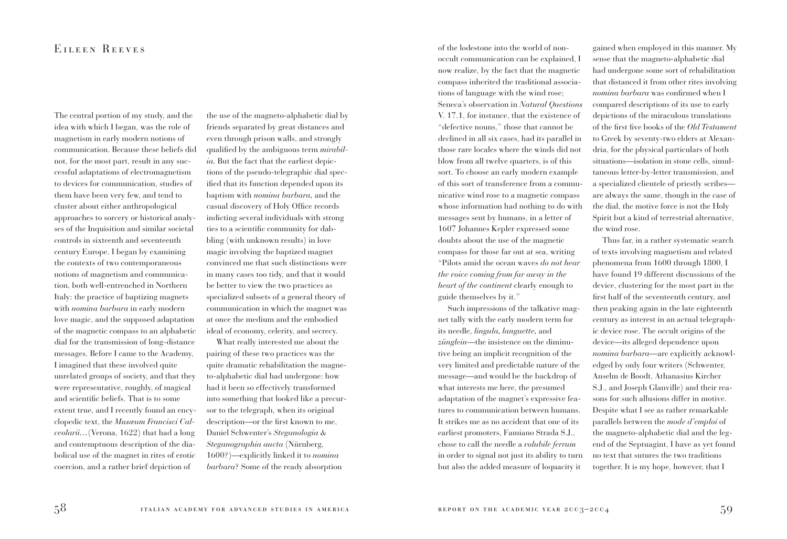## Eileen Reeves

The central portion of my study, and the idea with which I began, was the role of magnetism in early modern notions of communication. Because these beliefs did not, for the most part, result in any successful adaptations of electromagnetism to devices for communication, studies of them have been very few, and tend to cluster about either anthropological approaches to sorcery or historical analyses of the Inquisition and similar societal controls in sixteenth and seventeenth century Europe. I began by examining the contexts of two contemporaneous notions of magnetism and communication, both well-entrenched in Northern Italy: the practice of baptizing magnets with *nomina barbara* in early modern love magic, and the supposed adaptation of the magnetic compass to an alphabetic dial for the transmission of long-distance messages. Before I came to the Academy, I imagined that these involved quite unrelated groups of society, and that they were representative, roughly, of magical and scientific beliefs. That is to some extent true, and I recently found an encyclopedic text, the *Musæum Francisci Calceolarii…*(Verona, 1622) that had a long and contemptuous description of the diabolical use of the magnet in rites of erotic coercion, and a rather brief depiction of

the use of the magneto-alphabetic dial by friends separated by great distances and even through prison walls, and strongly qualified by the ambiguous term *mirabilia.* But the fact that the earliest depictions of the pseudo-telegraphic dial specified that its function depended upon its baptism with *nomina barbara,* and the casual discovery of Holy Office records indicting several individuals with strong ties to a scientific community for dabbling (with unknown results) in love magic involving the baptized magnet convinced me that such distinctions were in many cases too tidy, and that it would be better to view the two practices as specialized subsets of a general theory of communication in which the magnet was at once the medium and the embodied ideal of economy, celerity, and secrecy.

What really interested me about the pairing of these two practices was the quite dramatic rehabilitation the magneto-alphabetic dial had undergone: how had it been so effectively transformed into something that looked like a precursor to the telegraph, when its original description—or the first known to me, Daniel Schwenter's *Steganologia & Steganographia aucta* (Nürnberg, 1600?)—explicitly linked it to *nomina barbara*? Some of the ready absorption

of the lodestone into the world of nonoccult communication can be explained, I now realize, by the fact that the magnetic compass inherited the traditional associations of language with the wind rose; Seneca's observation in *Natural Questions* V. 17.1, for instance, that the existence of "defective nouns," those that cannot be declined in all six cases, had its parallel in those rare locales where the winds did not blow from all twelve quarters, is of this sort. To choose an early modern example of this sort of transference from a communicative wind rose to a magnetic compass whose information had nothing to do with messages sent by humans, in a letter of 1607 Johannes Kepler expressed some doubts about the use of the magnetic compass for those far out at sea, writing "Pilots amid the ocean waves *do not hear the voice coming from far away in the heart of the continent* clearly enough to guide themselves by it."

Such impressions of the talkative magnet tally with the early modern term for its needle, *lingula, languette,* and *zünglein*—the insistence on the diminutive being an implicit recognition of the very limited and predictable nature of the message—and would be the backdrop of what interests me here, the presumed adaptation of the magnet's expressive features to communication between humans. It strikes me as no accident that one of its earliest promoters, Famiano Strada S.J., chose to call the needle a *volubile ferrum* in order to signal not just its ability to turn but also the added measure of loquacity it

gained when employed in this manner. My sense that the magneto-alphabetic dial had undergone some sort of rehabilitation that distanced it from other rites involving *nomina barbara* was confirmed when I compared descriptions of its use to early depictions of the miraculous translations of the first five books of the *Old Testament* to Greek by seventy-two elders at Alexandria, for the physical particulars of both situations—isolation in stone cells, simultaneous letter-by-letter transmission, and a specialized clientele of priestly scribes are always the same, though in the case of the dial, the motive force is not the Holy Spirit but a kind of terrestrial alternative, the wind rose.

Thus far, in a rather systematic search of texts involving magnetism and related phenomena from 1600 through 1800, I have found 19 different discussions of the device, clustering for the most part in the first half of the seventeenth century, and then peaking again in the late eighteenth century as interest in an actual telegraphic device rose. The occult origins of the device—its alleged dependence upon *nomina barbara*—are explicitly acknowledged by only four writers (Schwenter, Anselm de Boodt, Athanasius Kircher S.J., and Joseph Glanville) and their reasons for such allusions differ in motive. Despite what I see as rather remarkable parallels between the *mode d'emploi* of the magneto-alphabetic dial and the legend of the Septuagint, I have as yet found no text that sutures the two traditions together. It is my hope, however, that I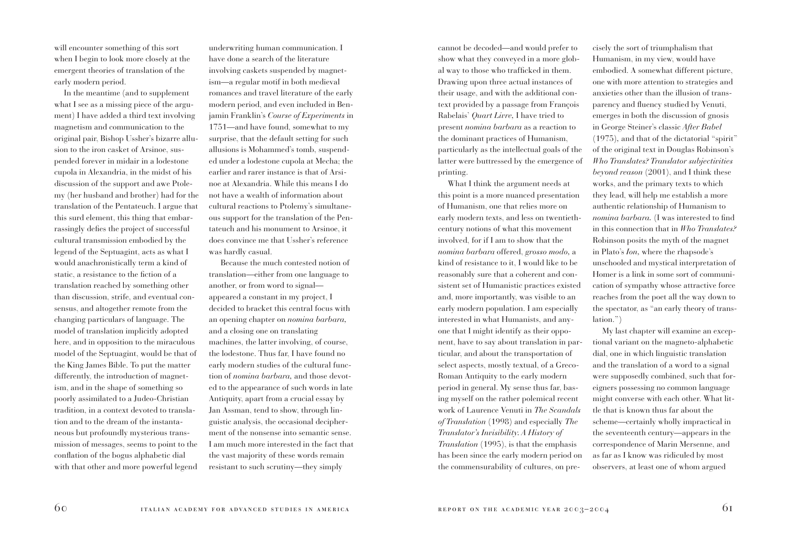will encounter something of this sort when I begin to look more closely at the emergent theories of translation of the early modern period.

In the meantime (and to supplement what I see as a missing piece of the argument) I have added a third text involving magnetism and communication to the original pair, Bishop Ussher's bizarre allusion to the iron casket of Arsinoe, suspended forever in midair in a lodestone cupola in Alexandria, in the midst of his discussion of the support and awe Ptolemy (her husband and brother) had for the translation of the Pentateuch. I argue that this surd element, this thing that embarrassingly defies the project of successful cultural transmission embodied by the legend of the Septuagint, acts as what I would anachronistically term a kind of static, a resistance to the fiction of a translation reached by something other than discussion, strife, and eventual consensus, and altogether remote from the changing particulars of language. The model of translation implicitly adopted here, and in opposition to the miraculous model of the Septuagint, would be that of the King James Bible. To put the matter differently, the introduction of magnetism, and in the shape of something so poorly assimilated to a Judeo-Christian tradition, in a context devoted to translation and to the dream of the instantaneous but profoundly mysterious transmission of messages, seems to point to the conflation of the bogus alphabetic dial with that other and more powerful legend underwriting human communication. I have done a search of the literature involving caskets suspended by magnetism—a regular motif in both medieval romances and travel literature of the early modern period, and even included in Benjamin Franklin's *Course of Experiments* in 1751—and have found, somewhat to my surprise, that the default setting for such allusions is Mohammed's tomb, suspended under a lodestone cupola at Mecha; the earlier and rarer instance is that of Arsinoe at Alexandria. While this means I do not have a wealth of information about cultural reactions to Ptolemy's simultaneous support for the translation of the Pentateuch and his monument to Arsinoe, it does convince me that Ussher's reference was hardly casual.

Because the much contested notion of translation—either from one language to another, or from word to signal appeared a constant in my project, I decided to bracket this central focus with an opening chapter on *nomina barbara,* and a closing one on translating machines, the latter involving, of course, the lodestone. Thus far, I have found no early modern studies of the cultural function of *nomina barbara,* and those devoted to the appearance of such words in late Antiquity, apart from a crucial essay by Jan Assman, tend to show, through linguistic analysis, the occasional decipherment of the nonsense into semantic sense. I am much more interested in the fact that the vast majority of these words remain resistant to such scrutiny—they simply

cannot be decoded—and would prefer to show what they conveyed in a more global way to those who trafficked in them. Drawing upon three actual instances of their usage, and with the additional context provided by a passage from François Rabelais' *Quart Livre,* I have tried to present *nomina barbara* as a reaction to the dominant practices of Humanism, particularly as the intellectual goals of the latter were buttressed by the emergence of printing.

What I think the argument needs at this point is a more nuanced presentation of Humanism, one that relies more on early modern texts, and less on twentiethcentury notions of what this movement involved, for if I am to show that the *nomina barbara* offered, *grosso modo,* a kind of resistance to it, I would like to be reasonably sure that a coherent and consistent set of Humanistic practices existed and, more importantly, was visible to an early modern population. I am especially interested in what Humanists, and anyone that I might identify as their opponent, have to say about translation in particular, and about the transportation of select aspects, mostly textual, of a Greco-Roman Antiquity to the early modern period in general. My sense thus far, basing myself on the rather polemical recent work of Laurence Venuti in *The Scandals of Translation* (1998) and especially *The Translator's Invisibility. A History of Translation* (1995), is that the emphasis has been since the early modern period on the commensurability of cultures, on pre-

cisely the sort of triumphalism that Humanism, in my view, would have embodied. A somewhat different picture, one with more attention to strategies and anxieties other than the illusion of transparency and fluency studied by Venuti, emerges in both the discussion of gnosis in George Steiner's classic *After Babel* (1975)*,* and that of the dictatorial "spirit" of the original text in Douglas Robinson's *Who Translates? Translator subjectivities beyond reason* (2001), and I think these works, and the primary texts to which they lead, will help me establish a more authentic relationship of Humanism to *nomina barbara.* (I was interested to find in this connection that in *Who Translates?* Robinson posits the myth of the magnet in Plato's *Ion,* where the rhapsode's unschooled and mystical interpretation of Homer is a link in some sort of communication of sympathy whose attractive force reaches from the poet all the way down to the spectator, as "an early theory of translation.")

My last chapter will examine an exceptional variant on the magneto-alphabetic dial, one in which linguistic translation and the translation of a word to a signal were supposedly combined, such that foreigners possessing no common language might converse with each other. What little that is known thus far about the scheme—certainly wholly impractical in the seventeenth century—appears in the correspondence of Marin Mersenne, and as far as I know was ridiculed by most observers, at least one of whom argued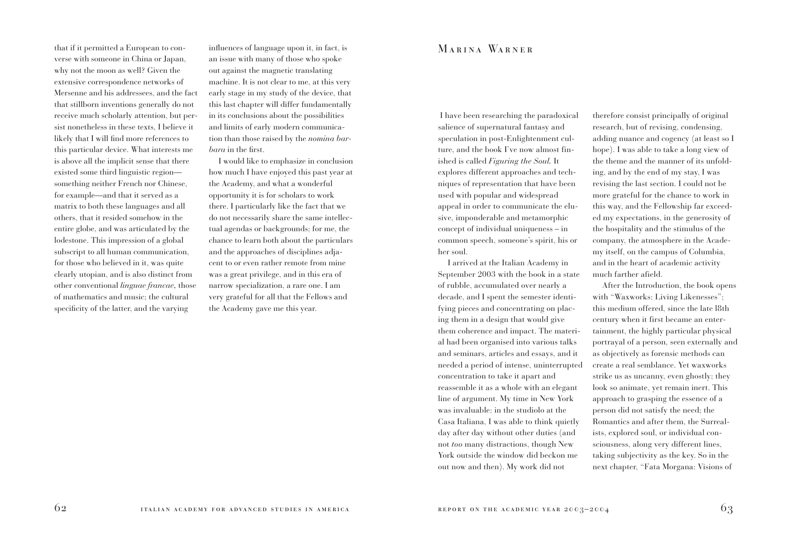that if it permitted a European to con- influences of language upon it, in fact, is  $\rm{M}$  a  $\rm{R}$   $\rm{N}$  and  $\rm{M}$  and  $\rm{M}$  and  $\rm{N}$  and  $\rm{N}$  and  $\rm{N}$  and  $\rm{N}$  and  $\rm{N}$  and  $\rm{N}$  and  $\rm{N}$  and verse with someone in China or Japan, why not the moon as well? Given the extensive correspondence networks of Mersenne and his addressees, and the fact that stillborn inventions generally do not receive much scholarly attention, but persist nonetheless in these texts, I believe it likely that I will find more references to this particular device. What interests me is above all the implicit sense that there existed some third linguistic region something neither French nor Chinese, for example—and that it served as a matrix to both these languages and all others, that it resided somehow in the entire globe, and was articulated by the lodestone. This impression of a global subscript to all human communication, for those who believed in it, was quite clearly utopian, and is also distinct from other conventional *linguae francae,* those of mathematics and music; the cultural specificity of the latter, and the varying

an issue with many of those who spoke out against the magnetic translating machine. It is not clear to me, at this very early stage in my study of the device, that this last chapter will differ fundamentally in its conclusions about the possibilities and limits of early modern communication than those raised by the *nomina barbara* in the first.

I would like to emphasize in conclusion how much I have enjoyed this past year at the Academy, and what a wonderful opportunity it is for scholars to work there. I particularly like the fact that we do not necessarily share the same intellectual agendas or backgrounds; for me, the chance to learn both about the particulars and the approaches of disciplines adjacent to or even rather remote from mine was a great privilege, and in this era of narrow specialization, a rare one. I am very grateful for all that the Fellows and the Academy gave me this year.

I have been researching the paradoxical salience of supernatural fantasy and speculation in post-Enlightenment culture, and the book I've now almost finished is called *Figuring the Soul.* It explores different approaches and techniques of representation that have been used with popular and widespread appeal in order to communicate the elusive, imponderable and metamorphic concept of individual uniqueness – in common speech, someone's spirit, his or her soul.

I arrived at the Italian Academy in September 2003 with the book in a state of rubble, accumulated over nearly a decade, and I spent the semester identifying pieces and concentrating on placing them in a design that would give them coherence and impact. The material had been organised into various talks and seminars, articles and essays, and it needed a period of intense, uninterrupted concentration to take it apart and reassemble it as a whole with an elegant line of argument. My time in New York was invaluable: in the studiolo at the Casa Italiana, I was able to think quietly day after day without other duties (and not *too* many distractions, though New York outside the window did beckon me out now and then). My work did not

therefore consist principally of original research, but of revising, condensing, adding nuance and cogency (at least so I hope). I was able to take a long view of the theme and the manner of its unfolding, and by the end of my stay, I was revising the last section. I could not be more grateful for the chance to work in this way, and the Fellowship far exceeded my expectations, in the generosity of the hospitality and the stimulus of the company, the atmosphere in the Academy itself, on the campus of Columbia, and in the heart of academic activity much farther afield.

After the Introduction, the book opens with "Waxworks: Living Likenesses"; this medium offered, since the late l8th century when it first became an entertainment, the highly particular physical portrayal of a person, seen externally and as objectively as forensic methods can create a real semblance. Yet waxworks strike us as uncanny, even ghostly; they look so animate, yet remain inert. This approach to grasping the essence of a person did not satisfy the need; the Romantics and after them, the Surrealists, explored soul, or individual consciousness, along very different lines, taking subjectivity as the key. So in the next chapter, "Fata Morgana: Visions of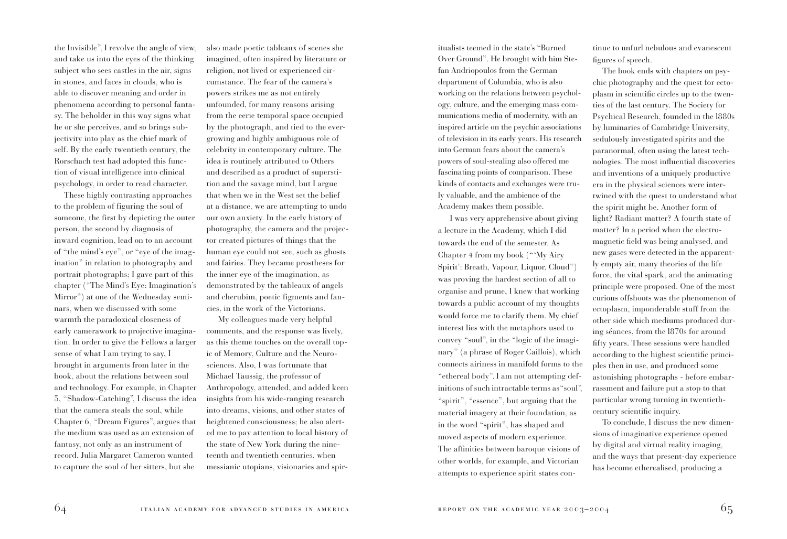the Invisible", I revolve the angle of view, and take us into the eyes of the thinking subject who sees castles in the air, signs in stones, and faces in clouds, who is able to discover meaning and order in phenomena according to personal fantasy. The beholder in this way signs what he or she perceives, and so brings subjectivity into play as the chief mark of self. By the early twentieth century, the Rorschach test had adopted this function of visual intelligence into clinical psychology, in order to read character.

These highly contrasting approaches to the problem of figuring the soul of someone, the first by depicting the outer person, the second by diagnosis of inward cognition, lead on to an account of "the mind's eye", or "eye of the imagination" in relation to photography and portrait photographs; I gave part of this chapter ("The Mind's Eye: Imagination's Mirror") at one of the Wednesday seminars, when we discussed with some warmth the paradoxical closeness of early camerawork to projective imagination. In order to give the Fellows a larger sense of what I am trying to say, I brought in arguments from later in the book, about the relations between soul and technology. For example, in Chapter 5, "Shadow-Catching", I discuss the idea that the camera steals the soul, while Chapter 6, "Dream Figures", argues that the medium was used as an extension of fantasy, not only as an instrument of record. Julia Margaret Cameron wanted to capture the soul of her sitters, but she

also made poetic tableaux of scenes she imagined, often inspired by literature or religion, not lived or experienced circumstance. The fear of the camera's powers strikes me as not entirely unfounded, for many reasons arising from the eerie temporal space occupied by the photograph, and tied to the evergrowing and highly ambiguous role of celebrity in contemporary culture. The idea is routinely attributed to Others and described as a product of superstition and the savage mind, but I argue that when we in the West set the belief at a distance, we are attempting to undo our own anxiety. In the early history of photography, the camera and the projector created pictures of things that the human eye could not see, such as ghosts and fairies. They became prostheses for the inner eye of the imagination, as demonstrated by the tableaux of angels and cherubim, poetic figments and fancies, in the work of the Victorians.

My colleagues made very helpful comments, and the response was lively, as this theme touches on the overall topic of Memory, Culture and the Neurosciences. Also, I was fortunate that Michael Taussig, the professor of Anthropology, attended, and added keen insights from his wide-ranging research into dreams, visions, and other states of heightened consciousness; he also alerted me to pay attention to local history of the state of New York during the nineteenth and twentieth centuries, when messianic utopians, visionaries and spiritualists teemed in the state's "Burned Over Ground". He brought with him Stefan Andriopoulos from the German department of Columbia, who is also working on the relations between psychology, culture, and the emerging mass communications media of modernity, with an inspired article on the psychic associations of television in its early years. His research into German fears about the camera's powers of soul-stealing also offered me fascinating points of comparison. These kinds of contacts and exchanges were truly valuable, and the ambience of the Academy makes them possible.

I was very apprehensive about giving a lecture in the Academy, which I did towards the end of the semester. As Chapter 4 from my book ("'My Airy Spirit': Breath, Vapour, Liquor, Cloud") was proving the hardest section of all to organise and prune, I knew that working towards a public account of my thoughts would force me to clarify them. My chief interest lies with the metaphors used to convey "soul", in the "logic of the imaginary" (a phrase of Roger Caillois), which connects airiness in manifold forms to the "ethereal body". I am not attempting definitions of such intractable terms as"soul", "spirit", "essence", but arguing that the material imagery at their foundation, as in the word "spirit", has shaped and moved aspects of modern experience. The affinities between baroque visions of other worlds, for example, and Victorian attempts to experience spirit states continue to unfurl nebulous and evanescent figures of speech.

The book ends with chapters on psychic photography and the quest for ectoplasm in scientific circles up to the twenties of the last century. The Society for Psychical Research, founded in the l880s by luminaries of Cambridge University, sedulously investigated spirits and the paranormal, often using the latest technologies. The most influential discoveries and inventions of a uniquely productive era in the physical sciences were intertwined with the quest to understand what the spirit might be. Another form of light? Radiant matter? A fourth state of matter? In a period when the electromagnetic field was being analysed, and new gases were detected in the apparently empty air, many theories of the life force, the vital spark, and the animating principle were proposed. One of the most curious offshoots was the phenomenon of ectoplasm, imponderable stuff from the other side which mediums produced during séances, from the l870s for around fifty years. These sessions were handled according to the highest scientific principles then in use, and produced some astonishing photographs - before embarrassment and failure put a stop to that particular wrong turning in twentiethcentury scientific inquiry.

To conclude, I discuss the new dimensions of imaginative experience opened by digital and virtual reality imaging, and the ways that present-day experience has become etherealised, producing a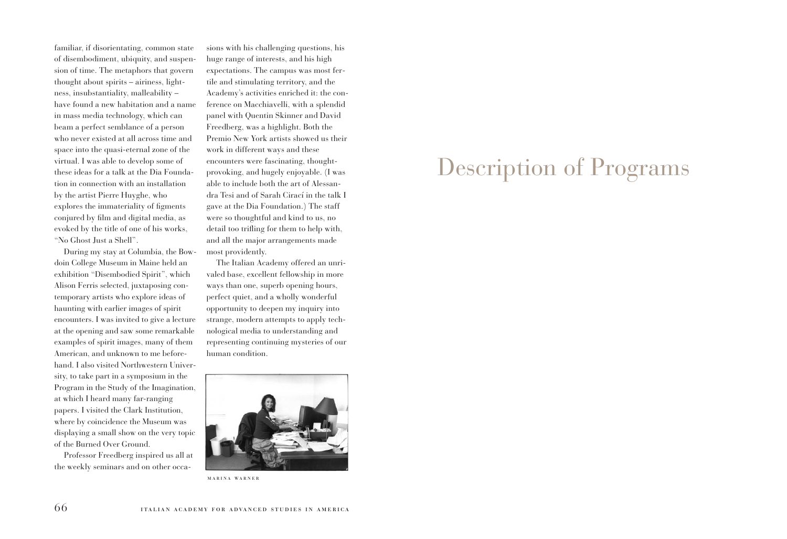familiar, if disorientating, common state of disembodiment, ubiquity, and suspension of time. The metaphors that govern thought about spirits – airiness, lightness, insubstantiality, malleability – have found a new habitation and a name in mass media technology, which can beam a perfect semblance of a person who never existed at all across time and space into the quasi-eternal zone of the virtual. I was able to develop some of these ideas for a talk at the Dia Foundation in connection with an installation by the artist Pierre Huyghe, who explores the immateriality of figments conjured by film and digital media, as evoked by the title of one of his works, "No Ghost Just a Shell".

During my stay at Columbia, the Bowdoin College Museum in Maine held an exhibition "Disembodied Spirit", which Alison Ferris selected, juxtaposing contemporary artists who explore ideas of haunting with earlier images of spirit encounters. I was invited to give a lecture at the opening and saw some remarkable examples of spirit images, many of them American, and unknown to me beforehand. I also visited Northwestern University, to take part in a symposium in the Program in the Study of the Imagination, at which I heard many far-ranging papers. I visited the Clark Institution, where by coincidence the Museum was displaying a small show on the very topic of the Burned Over Ground.

Professor Freedberg inspired us all at the weekly seminars and on other occa-

sions with his challenging questions, his huge range of interests, and his high expectations. The campus was most fertile and stimulating territory, and the Academy's activities enriched it: the conference on Macchiavelli, with a splendid panel with Quentin Skinner and David Freedberg, was a highlight. Both the Premio New York artists showed us their work in different ways and these encounters were fascinating, thoughtprovoking, and hugely enjoyable. (I was able to include both the art of Alessandra Tesi and of Sarah Cirací in the talk I gave at the Dia Foundation.) The staff were so thoughtful and kind to us, no detail too trifling for them to help with, and all the major arrangements made most providently.

The Italian Academy offered an unrivaled base, excellent fellowship in more ways than one, superb opening hours, perfect quiet, and a wholly wonderful opportunity to deepen my inquiry into strange, modern attempts to apply technological media to understanding and representing continuing mysteries of our human condition.



marina warner

# Description of Programs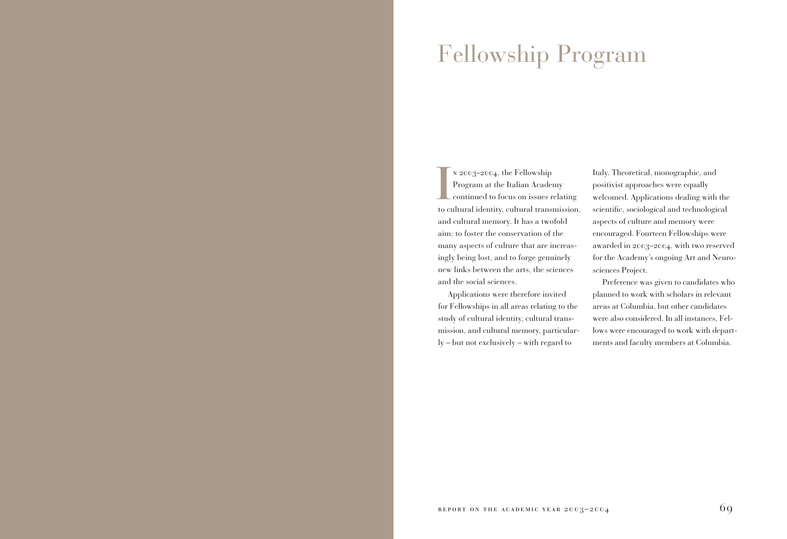# Fellowship Program

I N 2003-2004, the Fellowship<br>Program at the Italian Academy<br>continued to focus on issues relating n 2003–2004, the Fellowship Program at the Italian Academy to cultural identity, cultural transmission, and cultural memory. It has a twofold aim: to foster the conservation of the many aspects of culture that are increasingly being lost, and to forge genuinely new links between the arts, the sciences and the social sciences.

Applications were therefore invited for Fellowships in all areas relating to the study of cultural identity, cultural transmission, and cultural memory, particularly – but not exclusively – with regard to

Italy. Theoretical, monographic, and positivist approaches were equally welcomed. Applications dealing with the scientific, sociological and technological aspects of culture and memory were encouraged. Fourteen Fellowships were awarded in 2003–2004, with two reserved for the Academy's ongoing Art and Neurosciences Project.

Preference was given to candidates who planned to work with scholars in relevant areas at Columbia, but other candidates were also considered. In all instances, Fellows were encouraged to work with departments and faculty members at Columbia.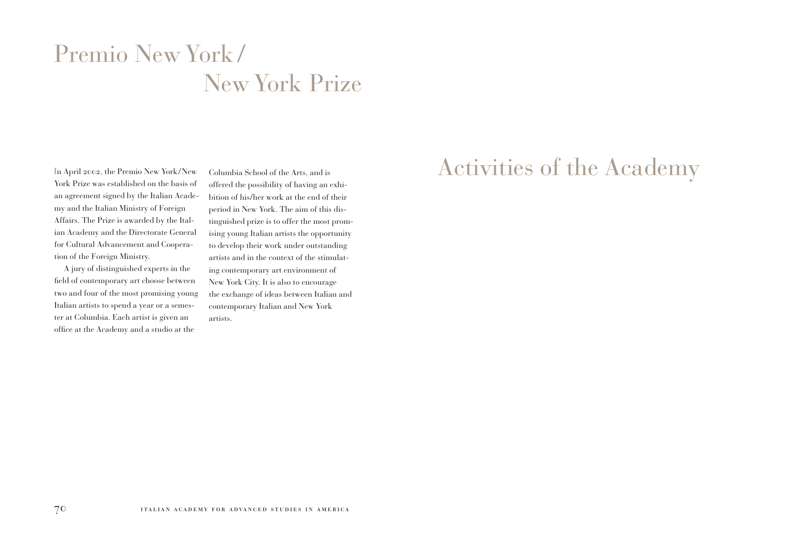# Premio New York/ New York Prize

In April 2002, the Premio New York/New York Prize was established on the basis of an agreement signed by the Italian Academy and the Italian Ministry of Foreign Affairs. The Prize is awarded by the Italian Academy and the Directorate General for Cultural Advancement and Cooperation of the Foreign Ministry.

A jury of distinguished experts in the field of contemporary art choose between two and four of the most promising young Italian artists to spend a year or a semester at Columbia. Each artist is given an office at the Academy and a studio at the

Columbia School of the Arts, and is offered the possibility of having an exhibition of his/her work at the end of their period in New York. The aim of this distinguished prize is to offer the most promising young Italian artists the opportunity to develop their work under outstanding artists and in the context of the stimulating contemporary art environment of New York City. It is also to encourage the exchange of ideas between Italian and contemporary Italian and New York artists.

# Activities of the Academy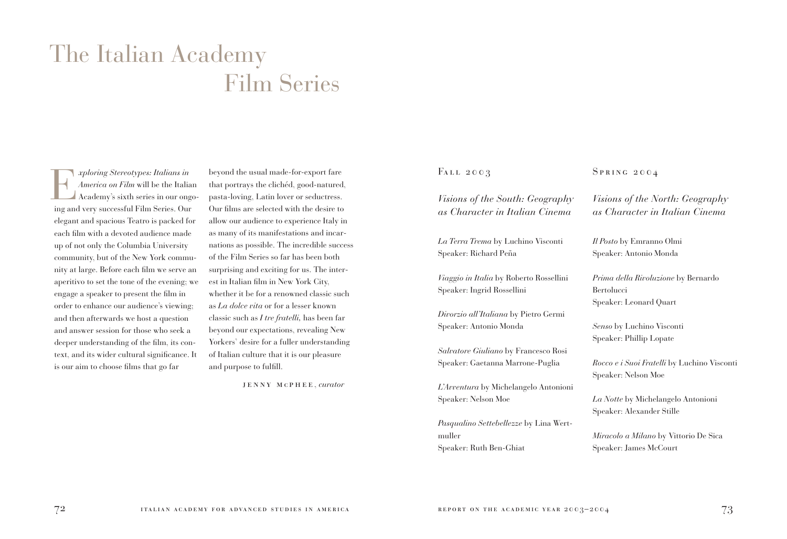# The Italian Academy Film Series

*xploring Stereotypes: Italians in*<br>*America on Film* will be the Itali.<br>Academy's sixth series in our onary and very successful Film Series. Our *America on Film* will be the Italian Academy's sixth series in our ongoing and very successful Film Series. Our elegant and spacious Teatro is packed for each film with a devoted audience made up of not only the Columbia University community, but of the New York community at large. Before each film we serve an aperitivo to set the tone of the evening; we engage a speaker to present the film in order to enhance our audience's viewing; and then afterwards we host a question and answer session for those who seek a deeper understanding of the film, its context, and its wider cultural significance. It is our aim to choose films that go far

beyond the usual made-for-export fare that portrays the clichéd, good-natured, pasta-loving, Latin lover or seductress. Our films are selected with the desire to allow our audience to experience Italy in as many of its manifestations and incarnations as possible. The incredible success of the Film Series so far has been both surprising and exciting for us. The interest in Italian film in New York City, whether it be for a renowned classic such as *La dolce vita* or for a lesser known classic such as *I tre fratelli,* has been far beyond our expectations, revealing New Yorkers' desire for a fuller understanding of Italian culture that it is our pleasure and purpose to fulfill.

jenny m c phee , *curator*

### FALL  $2003$

*Visions of the South: Geography as Character in Italian Cinema*

*La Terra Trema* by Luchino Visconti Speaker: Richard Peña

*Viaggio in Italia* by Roberto Rossellini Speaker: Ingrid Rossellini

*Divorzio all'Italiana* by Pietro Germi Speaker: Antonio Monda

*Salvatore Giuliano* by Francesco Rosi Speaker: Gaetanna Marrone-Puglia

*L'Avventura* by Michelangelo Antonioni Speaker: Nelson Moe

*Pasqualino Settebellezze* by Lina Wertmuller Speaker: Ruth Ben-Ghiat

### SPRING 2004

*Visions of the North: Geography as Character in Italian Cinema*

*Il Posto* by Emranno Olmi Speaker: Antonio Monda

*Prima della Rivoluzione* by Bernardo **Bertolucci** Speaker: Leonard Quart

*Senso* by Luchino Visconti Speaker: Phillip Lopate

*Rocco e i Suoi Fratelli* by Luchino Visconti Speaker: Nelson Moe

*La Notte* by Michelangelo Antonioni Speaker: Alexander Stille

*Miracolo a Milano* by Vittorio De Sica Speaker: James McCourt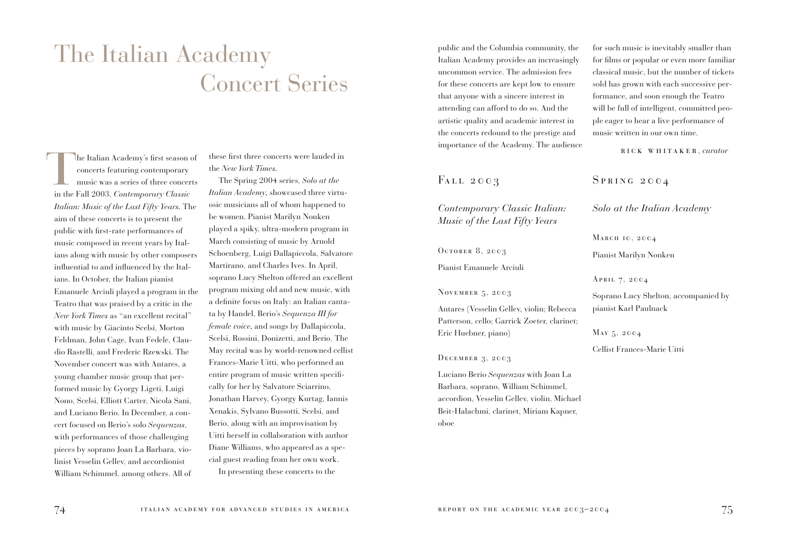# The Italian Academy Concert Series

The Italian Academy's first season of<br>
concerts featuring contemporary<br>
music was a series of three concerts concerts featuring contemporary in the Fall 2003, *Contemporary Classic Italian: Music of the Last Fifty Years.* The aim of these concerts is to present the public with first-rate performances of music composed in recent years by Italians along with music by other composers influential to and influenced by the Italians. In October, the Italian pianist Emanuele Arciuli played a program in the Teatro that was praised by a critic in the *New York Times* as "an excellent recital" with music by Giacinto Scelsi, Morton Feldman, John Cage, Ivan Fedele, Claudio Rastelli, and Frederic Rzewski. The November concert was with Antares, a young chamber music group that performed music by Gyorgy Ligeti, Luigi Nono, Scelsi, Elliott Carter, Nicola Sani, and Luciano Berio. In December, a concert focused on Berio's solo *Sequenzas*, with performances of those challenging pieces by soprano Joan La Barbara, violinist Vesselin Gellev, and accordionist William Schimmel, among others. All of

these first three concerts were lauded in the *New York Times.*

The Spring 2004 series, *Solo at the Italian Academy,* showcased three virtuosic musicians all of whom happened to be women. Pianist Marilyn Nonken played a spiky, ultra-modern program in March consisting of music by Arnold Schoenberg, Luigi Dallapiccola, Salvatore Martirano, and Charles Ives. In April, soprano Lucy Shelton offered an excellent program mixing old and new music, with a definite focus on Italy: an Italian cantata by Handel, Berio's *Sequenza III for female voice,* and songs by Dallapiccola, Scelsi, Rossini, Donizetti, and Berio. The May recital was by world-renowned cellist Frances-Marie Uitti, who performed an entire program of music written specifically for her by Salvatore Sciarrino, Jonathan Harvey, Gyorgy Kurtag, Iannis Xenakis, Sylvano Bussotti, Scelsi, and Berio, along with an improvisation by Uitti herself in collaboration with author Diane Williams, who appeared as a special guest reading from her own work. In presenting these concerts to the

public and the Columbia community, the Italian Academy provides an increasingly uncommon service. The admission fees for these concerts are kept low to ensure that anyone with a sincere interest in attending can afford to do so. And the artistic quality and academic interest in the concerts redound to the prestige and importance of the Academy. The audience

FALL  $2003$ 

*Contemporary Classic Italian: Music of the Last Fifty Years*

OCTOBER 8, 2003 Pianist Emanuele Arciuli

NOVEMBER 5, 2003

Antares (Vesselin Gellev, violin; Rebecca Patterson, cello; Garrick Zoeter, clarinet; Eric Huebner, piano)

December 3, 2003

Luciano Berio *Sequenzas* with Joan La Barbara, soprano, William Schimmel, accordion, Vesselin Gellev, violin, Michael Beit-Halachmi, clarinet, Miriam Kapner, oboe

for such music is inevitably smaller than for films or popular or even more familiar classical music, but the number of tickets sold has grown with each successive performance, and soon enough the Teatro will be full of intelligent, committed people eager to hear a live performance of music written in our own time.

rick whitaker , *curator*

### SPRING 2004

### *Solo at the Italian Academy*

March 10, 2004

Pianist Marilyn Nonken

April 7, 2004

Soprano Lucy Shelton, accompanied by pianist Karl Paulnack

May 5, 2004

Cellist Frances-Marie Uitti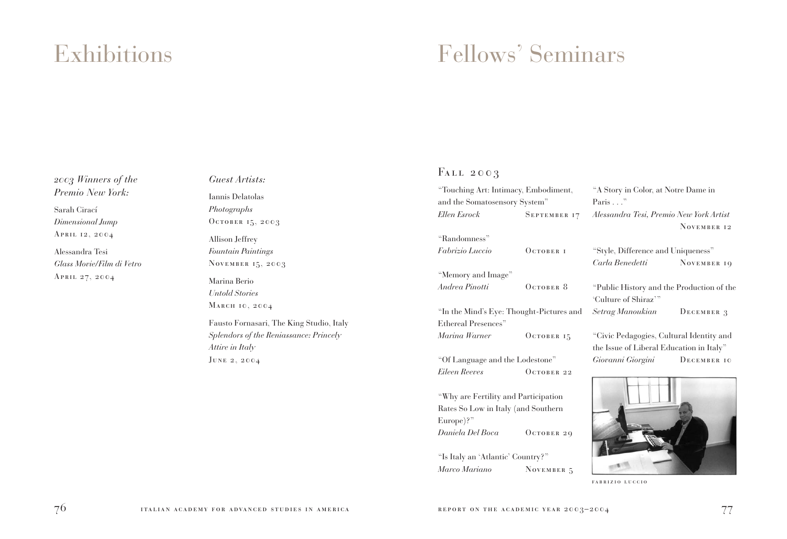# Exhibitions

# Fellows' Seminars

*2003 Winners of the Premio New York:*

Sarah Cirací *Dimensional Jump* April 12, 2004

Alessandra Tesi *Glass Movie/Film di Vetro* April 27, 2004

*Guest Artists:* Iannis Delatolas *Photographs* OCTOBER 15, 2003 Allison Jeffrey *Fountain Paintings* NOVEMBER 15, 2003 Marina Berio *Untold Stories* March 10, 2004

Fausto Fornasari, The King Studio, Italy *Splendors of the Reniassance: Princely Attire in Italy* June 2, 2004

## FALL 2003

| "Touching Art: Intimacy, Embodiment,     |              | "A Story in Color, at Notre Dame in       |             |
|------------------------------------------|--------------|-------------------------------------------|-------------|
| and the Somatosensory System"            |              | Paris"                                    |             |
| Ellen Esrock                             | SEPTEMBER 17 | Alessandra Tesi, Premio New York Artist   |             |
|                                          |              |                                           | NOVEMBER 12 |
| "Randomness"                             |              |                                           |             |
| Fabrizio Luccio                          | $OCTOBER$ 1  | "Style, Difference and Uniqueness"        |             |
|                                          |              | Carla Benedetti                           | NOVEMBER 19 |
| "Memory and Image"                       |              |                                           |             |
| Andrea Pinotti                           | OCTOBER 8    | "Public History and the Production of the |             |
|                                          |              | 'Culture of Shiraz'"                      |             |
| "In the Mind's Eye: Thought-Pictures and |              | Setrag Manoukian DECEMBER 3               |             |
| Ethereal Presences"                      |              |                                           |             |
| Marina Warner                            | OCTOBER $15$ | "Civic Pedagogies, Cultural Identity and  |             |
|                                          |              | the Issue of Liberal Education in Italy"  |             |
| "Of Language and the Lodestone"          |              | Giovanni Giorgini                         | DECEMBER 10 |
| <b>Eileen Reeves</b>                     | OCTOBER 22   |                                           |             |
|                                          |              |                                           |             |
| "Why are Fertility and Participation"    |              |                                           |             |
| Rates So Low in Italy (and Southern      |              |                                           |             |

Europe)?" *Daniela Del Boca* October 29

"Is Italy an 'Atlantic' Country?" *Marco Mariano* NOVEMBER 5

fabrizio luccio